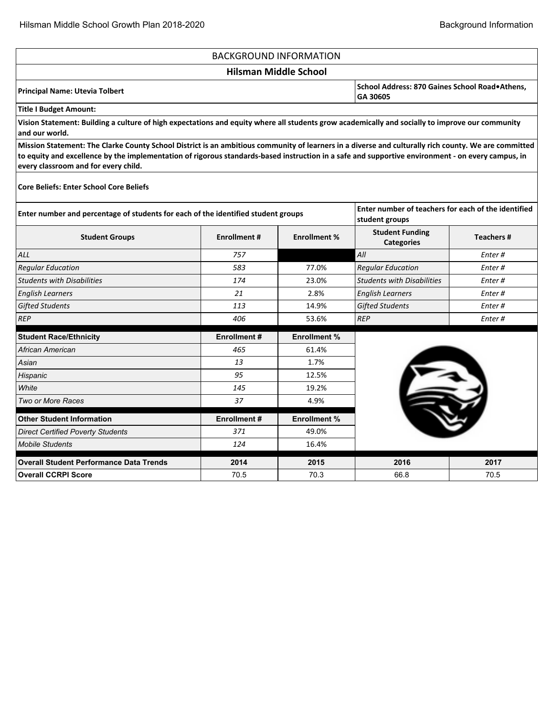'n

|                                                                                                                                                                                                                                                                                                                                                   |                     | <b>BACKGROUND INFORMATION</b> |                                                                       |                  |
|---------------------------------------------------------------------------------------------------------------------------------------------------------------------------------------------------------------------------------------------------------------------------------------------------------------------------------------------------|---------------------|-------------------------------|-----------------------------------------------------------------------|------------------|
|                                                                                                                                                                                                                                                                                                                                                   |                     | <b>Hilsman Middle School</b>  |                                                                       |                  |
| <b>Principal Name: Utevia Tolbert</b>                                                                                                                                                                                                                                                                                                             |                     |                               | School Address: 870 Gaines School Road•Athens,<br>GA 30605            |                  |
| <b>Title I Budget Amount:</b>                                                                                                                                                                                                                                                                                                                     |                     |                               |                                                                       |                  |
| Vision Statement: Building a culture of high expectations and equity where all students grow academically and socially to improve our community<br>and our world.                                                                                                                                                                                 |                     |                               |                                                                       |                  |
| Mission Statement: The Clarke County School District is an ambitious community of learners in a diverse and culturally rich county. We are committed<br>to equity and excellence by the implementation of rigorous standards-based instruction in a safe and supportive environment - on every campus, in<br>every classroom and for every child. |                     |                               |                                                                       |                  |
| <b>Core Beliefs: Enter School Core Beliefs</b>                                                                                                                                                                                                                                                                                                    |                     |                               |                                                                       |                  |
| Enter number and percentage of students for each of the identified student groups                                                                                                                                                                                                                                                                 |                     |                               | Enter number of teachers for each of the identified<br>student groups |                  |
| <b>Student Groups</b>                                                                                                                                                                                                                                                                                                                             | <b>Enrollment #</b> | <b>Enrollment %</b>           | <b>Student Funding</b><br><b>Categories</b>                           | <b>Teachers#</b> |
| ALL                                                                                                                                                                                                                                                                                                                                               | 757                 |                               | All                                                                   | Enter#           |
| <b>Regular Education</b>                                                                                                                                                                                                                                                                                                                          | 583                 | 77.0%                         | <b>Regular Education</b>                                              | Enter#           |
| <b>Students with Disabilities</b>                                                                                                                                                                                                                                                                                                                 | 174                 | 23.0%                         | <b>Students with Disabilities</b>                                     | Enter#           |
| <b>English Learners</b>                                                                                                                                                                                                                                                                                                                           | 21                  | 2.8%                          | <b>English Learners</b>                                               | Enter#           |
| <b>Gifted Students</b>                                                                                                                                                                                                                                                                                                                            | 113                 | 14.9%                         | <b>Gifted Students</b>                                                | Enter#           |
| <b>REP</b>                                                                                                                                                                                                                                                                                                                                        | 406                 | 53.6%                         | <b>REP</b>                                                            | Enter#           |
| <b>Student Race/Ethnicity</b>                                                                                                                                                                                                                                                                                                                     | <b>Enrollment#</b>  | <b>Enrollment %</b>           |                                                                       |                  |
| African American                                                                                                                                                                                                                                                                                                                                  | 465                 | 61.4%                         |                                                                       |                  |
| Asian                                                                                                                                                                                                                                                                                                                                             | 13                  | 1.7%                          |                                                                       |                  |
| Hispanic                                                                                                                                                                                                                                                                                                                                          | 95                  | 12.5%                         |                                                                       |                  |
| White                                                                                                                                                                                                                                                                                                                                             | 145                 | 19.2%                         |                                                                       |                  |
| Two or More Races                                                                                                                                                                                                                                                                                                                                 | 37                  | 4.9%                          |                                                                       |                  |
| <b>Other Student Information</b>                                                                                                                                                                                                                                                                                                                  | <b>Enrollment#</b>  | <b>Enrollment %</b>           |                                                                       |                  |
| <b>Direct Certified Poverty Students</b>                                                                                                                                                                                                                                                                                                          | 371                 | 49.0%                         |                                                                       |                  |
| <b>Mobile Students</b>                                                                                                                                                                                                                                                                                                                            | 124                 | 16.4%                         |                                                                       |                  |
| <b>Overall Student Performance Data Trends</b>                                                                                                                                                                                                                                                                                                    | 2014                | 2015                          | 2016                                                                  | 2017             |
| <b>Overall CCRPI Score</b>                                                                                                                                                                                                                                                                                                                        | 70.5                | 70.3                          | 66.8                                                                  | 70.5             |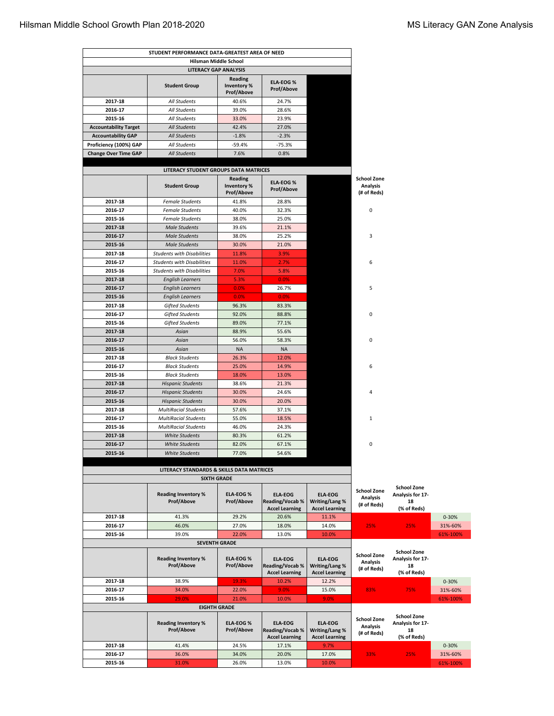|                              | STUDENT PERFORMANCE DATA-GREATEST AREA OF NEED            |                                      |                                                                   |                                                           |                                                      |                                                             |           |
|------------------------------|-----------------------------------------------------------|--------------------------------------|-------------------------------------------------------------------|-----------------------------------------------------------|------------------------------------------------------|-------------------------------------------------------------|-----------|
|                              | Hilsman Middle School                                     |                                      |                                                                   |                                                           |                                                      |                                                             |           |
|                              | <b>LITERACY GAP ANALYSIS</b>                              |                                      |                                                                   |                                                           |                                                      |                                                             |           |
|                              | <b>Student Group</b>                                      | Reading<br>Inventory %<br>Prof/Above | <b>ELA-EOG%</b><br>Prof/Above                                     |                                                           |                                                      |                                                             |           |
| 2017-18                      | <b>All Students</b>                                       | 40.6%                                | 24.7%                                                             |                                                           |                                                      |                                                             |           |
| 2016-17                      | All Students                                              | 39.0%                                | 28.6%                                                             |                                                           |                                                      |                                                             |           |
| 2015-16                      | All Students                                              | 33.0%                                | 23.9%                                                             |                                                           |                                                      |                                                             |           |
| <b>Accountability Target</b> | <b>All Students</b>                                       | 42.4%                                | 27.0%                                                             |                                                           |                                                      |                                                             |           |
| <b>Accountability GAP</b>    | <b>All Students</b>                                       | $-1.8%$                              | $-2.3%$                                                           |                                                           |                                                      |                                                             |           |
| Proficiency (100%) GAP       | All Students                                              | $-59.4%$                             | -75.3%                                                            |                                                           |                                                      |                                                             |           |
| <b>Change Over Time GAP</b>  | <b>All Students</b>                                       | 7.6%                                 | 0.8%                                                              |                                                           |                                                      |                                                             |           |
|                              | LITERACY STUDENT GROUPS DATA MATRICES                     |                                      |                                                                   |                                                           |                                                      |                                                             |           |
|                              | <b>Student Group</b>                                      | Reading<br>Inventory %<br>Prof/Above | <b>ELA-EOG%</b><br><b>Prof/Above</b>                              |                                                           | <b>School Zone</b><br><b>Analysis</b><br>(# of Reds) |                                                             |           |
| 2017-18                      | <b>Female Students</b>                                    | 41.8%                                | 28.8%                                                             |                                                           |                                                      |                                                             |           |
| 2016-17                      | <b>Female Students</b>                                    | 40.0%                                | 32.3%                                                             |                                                           | 0                                                    |                                                             |           |
| 2015-16                      | <b>Female Students</b>                                    | 38.0%                                | 25.0%                                                             |                                                           |                                                      |                                                             |           |
| 2017-18                      | <b>Male Students</b>                                      | 39.6%                                | 21.1%                                                             |                                                           |                                                      |                                                             |           |
| 2016-17                      | <b>Male Students</b>                                      | 38.0%                                | 25.2%                                                             |                                                           | 3                                                    |                                                             |           |
| 2015-16<br>2017-18           | <b>Male Students</b><br><b>Students with Disabilities</b> | 30.0%<br>11.8%                       | 21.0%<br>3.9%                                                     |                                                           |                                                      |                                                             |           |
| 2016-17                      | <b>Students with Disabilities</b>                         | 11.0%                                | 2.7%                                                              |                                                           | 6                                                    |                                                             |           |
| 2015-16                      | <b>Students with Disabilities</b>                         | 7.0%                                 | 5.8%                                                              |                                                           |                                                      |                                                             |           |
| 2017-18                      | <b>English Learners</b>                                   | 5.3%                                 | 0.0%                                                              |                                                           |                                                      |                                                             |           |
| 2016-17                      | <b>English Learners</b>                                   | 0.0%                                 | 26.7%                                                             |                                                           | 5                                                    |                                                             |           |
| 2015-16                      | <b>English Learners</b>                                   | 0.0%                                 | 0.0%                                                              |                                                           |                                                      |                                                             |           |
| 2017-18                      | <b>Gifted Students</b>                                    | 96.3%                                | 83.3%                                                             |                                                           |                                                      |                                                             |           |
| 2016-17                      | <b>Gifted Students</b>                                    | 92.0%                                | 88.8%                                                             |                                                           | 0                                                    |                                                             |           |
| 2015-16                      | <b>Gifted Students</b>                                    | 89.0%                                | 77.1%                                                             |                                                           |                                                      |                                                             |           |
| 2017-18                      | Asian                                                     | 88.9%                                | 55.6%                                                             |                                                           |                                                      |                                                             |           |
| 2016-17                      | Asian                                                     | 56.0%                                | 58.3%                                                             |                                                           | 0                                                    |                                                             |           |
| 2015-16                      | Asian                                                     | <b>NA</b>                            | <b>NA</b>                                                         |                                                           |                                                      |                                                             |           |
| 2017-18                      | <b>Black Students</b>                                     | 26.3%                                | 12.0%                                                             |                                                           |                                                      |                                                             |           |
| 2016-17                      | <b>Black Students</b>                                     | 25.0%                                | 14.9%                                                             |                                                           | 6                                                    |                                                             |           |
| 2015-16                      | <b>Black Students</b>                                     | 18.0%                                | 13.0%                                                             |                                                           |                                                      |                                                             |           |
| 2017-18                      | <b>Hispanic Students</b>                                  | 38.6%                                | 21.3%                                                             |                                                           |                                                      |                                                             |           |
| 2016-17                      | <b>Hispanic Students</b>                                  | 30.0%                                | 24.6%                                                             |                                                           | 4                                                    |                                                             |           |
| 2015-16<br>2017-18           | <b>Hispanic Students</b><br><b>MultiRacial Students</b>   | 30.0%<br>57.6%                       | 20.0%<br>37.1%                                                    |                                                           |                                                      |                                                             |           |
| 2016-17                      | <b>MultiRacial Students</b>                               | 55.0%                                | 18.5%                                                             |                                                           | 1                                                    |                                                             |           |
| 2015-16                      | <b>MultiRacial Students</b>                               | 46.0%                                | 24.3%                                                             |                                                           |                                                      |                                                             |           |
| 2017-18                      | <b>White Students</b>                                     | 80.3%                                | 61.2%                                                             |                                                           |                                                      |                                                             |           |
| 2016-17                      | <b>White Students</b>                                     | 82.0%                                | 67.1%                                                             |                                                           | 0                                                    |                                                             |           |
| 2015-16                      | <b>White Students</b>                                     | 77.0%                                | 54.6%                                                             |                                                           |                                                      |                                                             |           |
|                              |                                                           |                                      |                                                                   |                                                           |                                                      |                                                             |           |
|                              | LITERACY STANDARDS & SKILLS DATA MATRICES                 |                                      |                                                                   |                                                           |                                                      |                                                             |           |
|                              | <b>SIXTH GRADE</b>                                        |                                      |                                                                   |                                                           |                                                      | <b>School Zone</b>                                          |           |
|                              | <b>Reading Inventory %</b><br>Prof/Above                  | <b>ELA-EOG%</b><br>Prof/Above        | <b>ELA-EOG</b><br><b>Reading/Vocab %</b><br><b>Accel Learning</b> | <b>ELA-EOG</b><br>Writing/Lang %<br><b>Accel Learning</b> | <b>School Zone</b><br>Analysis<br>(# of Reds)        | Analysis for 17-<br>18<br>(% of Reds)                       |           |
| 2017-18                      | 41.3%                                                     | 29.2%                                | 20.6%                                                             | 11.1%                                                     |                                                      |                                                             | $0 - 30%$ |
| 2016-17                      | 46.0%                                                     | 27.0%                                | 18.0%                                                             | 14.0%                                                     | 25%                                                  | 25%                                                         | 31%-60%   |
| 2015-16                      | 39.0%                                                     | 22.0%                                | 13.0%                                                             | 10.0%                                                     |                                                      |                                                             | 61%-100%  |
|                              | <b>SEVENTH GRADE</b>                                      |                                      |                                                                   |                                                           |                                                      |                                                             |           |
|                              | <b>Reading Inventory %</b><br>Prof/Above                  | <b>ELA-EOG%</b><br>Prof/Above        | <b>ELA-EOG</b><br><b>Reading/Vocab %</b><br><b>Accel Learning</b> | <b>ELA-EOG</b><br>Writing/Lang %<br><b>Accel Learning</b> | <b>School Zone</b><br>Analysis<br>(# of Reds)        | <b>School Zone</b><br>Analysis for 17-<br>18<br>(% of Reds) |           |
| 2017-18                      | 38.9%                                                     | 19.3%                                | 10.2%                                                             | 12.2%                                                     |                                                      |                                                             | $0 - 30%$ |
| 2016-17                      | 34.0%                                                     | 22.0%                                | 9.0%                                                              | 15.0%                                                     | 83%                                                  | 75%                                                         | 31%-60%   |
| 2015-16                      | 29.0%<br><b>EIGHTH GRADE</b>                              | 21.0%                                | 10.0%                                                             | 9.0%                                                      |                                                      |                                                             | 61%-100%  |
|                              |                                                           |                                      |                                                                   |                                                           |                                                      | <b>School Zone</b>                                          |           |
|                              | <b>Reading Inventory %</b><br>Prof/Above                  | <b>ELA-EOG%</b><br>Prof/Above        | <b>ELA-EOG</b><br><b>Reading/Vocab %</b><br><b>Accel Learning</b> | <b>ELA-EOG</b><br>Writing/Lang %<br><b>Accel Learning</b> | <b>School Zone</b><br><b>Analysis</b><br>(# of Reds) | Analysis for 17-<br>18<br>(% of Reds)                       |           |
| 2017-18                      | 41.4%                                                     | 24.5%                                | 17.1%                                                             | 9.7%                                                      |                                                      |                                                             | 0-30%     |
| 2016-17                      | 36.0%                                                     | 34.0%                                | 20.0%                                                             | 17.0%                                                     | 33%                                                  | 25%                                                         | 31%-60%   |
| 2015-16                      | 31.0%                                                     | 26.0%                                | 13.0%                                                             | 10.0%                                                     |                                                      |                                                             | 61%-100%  |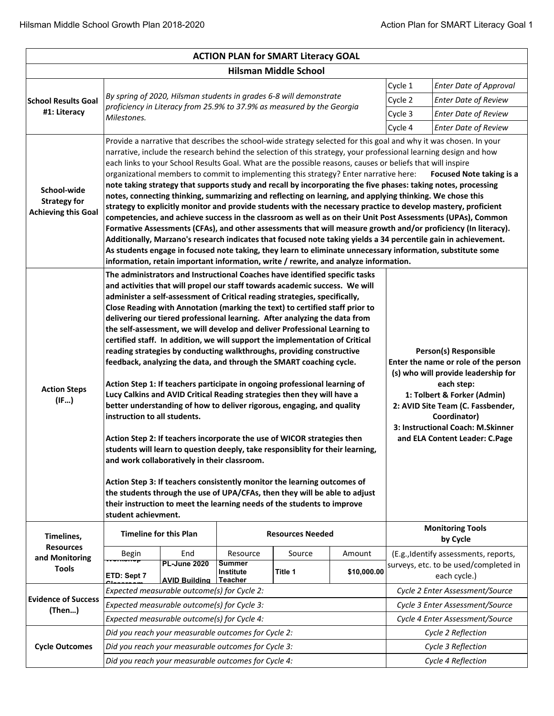| <b>ACTION PLAN for SMART Literacy GOAL</b>                       |                                                                                                                                                                                                                                                                                                                                                                                                                                                                                                                                                                                                                                                                                                                                                                                                                                                                                                                                                                                                                                                                                                                                                                                                                                                                                                                                                                                                                                                                                                                                                                                                                                                                                                                                        |                                                                        |                                                     |                             |                             |                    |                                       |  |  |  |
|------------------------------------------------------------------|----------------------------------------------------------------------------------------------------------------------------------------------------------------------------------------------------------------------------------------------------------------------------------------------------------------------------------------------------------------------------------------------------------------------------------------------------------------------------------------------------------------------------------------------------------------------------------------------------------------------------------------------------------------------------------------------------------------------------------------------------------------------------------------------------------------------------------------------------------------------------------------------------------------------------------------------------------------------------------------------------------------------------------------------------------------------------------------------------------------------------------------------------------------------------------------------------------------------------------------------------------------------------------------------------------------------------------------------------------------------------------------------------------------------------------------------------------------------------------------------------------------------------------------------------------------------------------------------------------------------------------------------------------------------------------------------------------------------------------------|------------------------------------------------------------------------|-----------------------------------------------------|-----------------------------|-----------------------------|--------------------|---------------------------------------|--|--|--|
|                                                                  | <b>Hilsman Middle School</b>                                                                                                                                                                                                                                                                                                                                                                                                                                                                                                                                                                                                                                                                                                                                                                                                                                                                                                                                                                                                                                                                                                                                                                                                                                                                                                                                                                                                                                                                                                                                                                                                                                                                                                           |                                                                        |                                                     |                             |                             |                    |                                       |  |  |  |
|                                                                  |                                                                                                                                                                                                                                                                                                                                                                                                                                                                                                                                                                                                                                                                                                                                                                                                                                                                                                                                                                                                                                                                                                                                                                                                                                                                                                                                                                                                                                                                                                                                                                                                                                                                                                                                        |                                                                        |                                                     |                             |                             | Cycle 1            | <b>Enter Date of Approval</b>         |  |  |  |
| <b>School Results Goal</b><br>#1: Literacy                       |                                                                                                                                                                                                                                                                                                                                                                                                                                                                                                                                                                                                                                                                                                                                                                                                                                                                                                                                                                                                                                                                                                                                                                                                                                                                                                                                                                                                                                                                                                                                                                                                                                                                                                                                        | By spring of 2020, Hilsman students in grades 6-8 will demonstrate     |                                                     | Cycle 2                     | <b>Enter Date of Review</b> |                    |                                       |  |  |  |
|                                                                  | Milestones.                                                                                                                                                                                                                                                                                                                                                                                                                                                                                                                                                                                                                                                                                                                                                                                                                                                                                                                                                                                                                                                                                                                                                                                                                                                                                                                                                                                                                                                                                                                                                                                                                                                                                                                            | proficiency in Literacy from 25.9% to 37.9% as measured by the Georgia | Cycle 3                                             | <b>Enter Date of Review</b> |                             |                    |                                       |  |  |  |
|                                                                  |                                                                                                                                                                                                                                                                                                                                                                                                                                                                                                                                                                                                                                                                                                                                                                                                                                                                                                                                                                                                                                                                                                                                                                                                                                                                                                                                                                                                                                                                                                                                                                                                                                                                                                                                        |                                                                        |                                                     |                             |                             | Cycle 4            | <b>Enter Date of Review</b>           |  |  |  |
| School-wide<br><b>Strategy for</b><br><b>Achieving this Goal</b> | Provide a narrative that describes the school-wide strategy selected for this goal and why it was chosen. In your<br>narrative, include the research behind the selection of this strategy, your professional learning design and how<br>each links to your School Results Goal. What are the possible reasons, causes or beliefs that will inspire<br>organizational members to commit to implementing this strategy? Enter narrative here:<br><b>Focused Note taking is a</b><br>note taking strategy that supports study and recall by incorporating the five phases: taking notes, processing<br>notes, connecting thinking, summarizing and reflecting on learning, and applying thinking. We chose this<br>strategy to explicitly monitor and provide students with the necessary practice to develop mastery, proficient<br>competencies, and achieve success in the classroom as well as on their Unit Post Assessments (UPAs), Common<br>Formative Assessments (CFAs), and other assessments that will measure growth and/or proficiency (In literacy).<br>Additionally, Marzano's research indicates that focused note taking yields a 34 percentile gain in achievement.<br>As students engage in focused note taking, they learn to eliminate unnecessary information, substitute some                                                                                                                                                                                                                                                                                                                                                                                                                                     |                                                                        |                                                     |                             |                             |                    |                                       |  |  |  |
| <b>Action Steps</b><br>(IF)                                      | information, retain important information, write / rewrite, and analyze information.<br>The administrators and Instructional Coaches have identified specific tasks<br>and activities that will propel our staff towards academic success. We will<br>administer a self-assessment of Critical reading strategies, specifically,<br>Close Reading with Annotation (marking the text) to certified staff prior to<br>delivering our tiered professional learning. After analyzing the data from<br>the self-assessment, we will develop and deliver Professional Learning to<br>certified staff. In addition, we will support the implementation of Critical<br>reading strategies by conducting walkthroughs, providing constructive<br>Person(s) Responsible<br>feedback, analyzing the data, and through the SMART coaching cycle.<br>Enter the name or role of the person<br>(s) who will provide leadership for<br>Action Step 1: If teachers participate in ongoing professional learning of<br>each step:<br>Lucy Calkins and AVID Critical Reading strategies then they will have a<br>1: Tolbert & Forker (Admin)<br>better understanding of how to deliver rigorous, engaging, and quality<br>2: AVID Site Team (C. Fassbender,<br>instruction to all students.<br>Coordinator)<br>3: Instructional Coach: M.Skinner<br>Action Step 2: If teachers incorporate the use of WICOR strategies then<br>and ELA Content Leader: C.Page<br>students will learn to question deeply, take responsiblity for their learning,<br>and work collaboratively in their classroom.<br>Action Step 3: If teachers consistently monitor the learning outcomes of<br>the students through the use of UPA/CFAs, then they will be able to adjust |                                                                        |                                                     |                             |                             |                    |                                       |  |  |  |
| Timelines,                                                       | <b>Timeline for this Plan</b>                                                                                                                                                                                                                                                                                                                                                                                                                                                                                                                                                                                                                                                                                                                                                                                                                                                                                                                                                                                                                                                                                                                                                                                                                                                                                                                                                                                                                                                                                                                                                                                                                                                                                                          |                                                                        |                                                     | <b>Resources Needed</b>     |                             |                    | <b>Monitoring Tools</b><br>by Cycle   |  |  |  |
| <b>Resources</b>                                                 | Begin                                                                                                                                                                                                                                                                                                                                                                                                                                                                                                                                                                                                                                                                                                                                                                                                                                                                                                                                                                                                                                                                                                                                                                                                                                                                                                                                                                                                                                                                                                                                                                                                                                                                                                                                  | End                                                                    | Resource                                            | Source                      | Amount                      |                    | (E.g., Identify assessments, reports, |  |  |  |
| and Monitoring<br><b>Tools</b>                                   |                                                                                                                                                                                                                                                                                                                                                                                                                                                                                                                                                                                                                                                                                                                                                                                                                                                                                                                                                                                                                                                                                                                                                                                                                                                                                                                                                                                                                                                                                                                                                                                                                                                                                                                                        | <b>PL-June 2020</b>                                                    | <b>Summer</b><br><b>Institute</b>                   | Title 1                     |                             |                    | surveys, etc. to be used/completed in |  |  |  |
|                                                                  | ETD: Sept 7                                                                                                                                                                                                                                                                                                                                                                                                                                                                                                                                                                                                                                                                                                                                                                                                                                                                                                                                                                                                                                                                                                                                                                                                                                                                                                                                                                                                                                                                                                                                                                                                                                                                                                                            | <b>AVID Building</b>                                                   | <b>Teacher</b>                                      |                             | \$10,000.00                 |                    | each cycle.)                          |  |  |  |
| <b>Evidence of Success</b>                                       |                                                                                                                                                                                                                                                                                                                                                                                                                                                                                                                                                                                                                                                                                                                                                                                                                                                                                                                                                                                                                                                                                                                                                                                                                                                                                                                                                                                                                                                                                                                                                                                                                                                                                                                                        | Expected measurable outcome(s) for Cycle 2:                            |                                                     |                             |                             |                    | Cycle 2 Enter Assessment/Source       |  |  |  |
| (Then)                                                           |                                                                                                                                                                                                                                                                                                                                                                                                                                                                                                                                                                                                                                                                                                                                                                                                                                                                                                                                                                                                                                                                                                                                                                                                                                                                                                                                                                                                                                                                                                                                                                                                                                                                                                                                        | Expected measurable outcome(s) for Cycle 3:                            |                                                     |                             |                             |                    | Cycle 3 Enter Assessment/Source       |  |  |  |
|                                                                  |                                                                                                                                                                                                                                                                                                                                                                                                                                                                                                                                                                                                                                                                                                                                                                                                                                                                                                                                                                                                                                                                                                                                                                                                                                                                                                                                                                                                                                                                                                                                                                                                                                                                                                                                        | Expected measurable outcome(s) for Cycle 4:                            |                                                     |                             |                             |                    | Cycle 4 Enter Assessment/Source       |  |  |  |
|                                                                  |                                                                                                                                                                                                                                                                                                                                                                                                                                                                                                                                                                                                                                                                                                                                                                                                                                                                                                                                                                                                                                                                                                                                                                                                                                                                                                                                                                                                                                                                                                                                                                                                                                                                                                                                        |                                                                        | Did you reach your measurable outcomes for Cycle 2: |                             |                             |                    | Cycle 2 Reflection                    |  |  |  |
| <b>Cycle Outcomes</b>                                            |                                                                                                                                                                                                                                                                                                                                                                                                                                                                                                                                                                                                                                                                                                                                                                                                                                                                                                                                                                                                                                                                                                                                                                                                                                                                                                                                                                                                                                                                                                                                                                                                                                                                                                                                        |                                                                        | Did you reach your measurable outcomes for Cycle 3: |                             |                             |                    | Cycle 3 Reflection                    |  |  |  |
|                                                                  |                                                                                                                                                                                                                                                                                                                                                                                                                                                                                                                                                                                                                                                                                                                                                                                                                                                                                                                                                                                                                                                                                                                                                                                                                                                                                                                                                                                                                                                                                                                                                                                                                                                                                                                                        |                                                                        | Did you reach your measurable outcomes for Cycle 4: |                             |                             | Cycle 4 Reflection |                                       |  |  |  |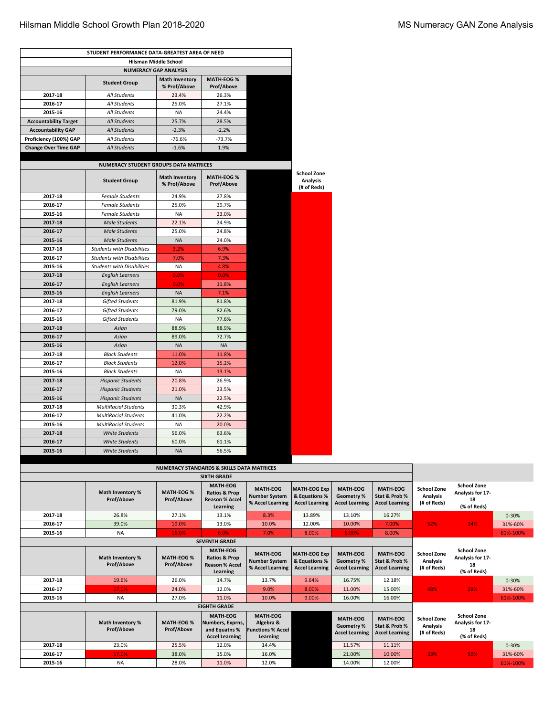$\Gamma$ 

| STUDENT PERFORMANCE DATA-GREATEST AREA OF NEED |                                              |                                                      |                                                                                  |                                                             |                                                               |                                                        |                                                           |                                                      |                                                             |           |
|------------------------------------------------|----------------------------------------------|------------------------------------------------------|----------------------------------------------------------------------------------|-------------------------------------------------------------|---------------------------------------------------------------|--------------------------------------------------------|-----------------------------------------------------------|------------------------------------------------------|-------------------------------------------------------------|-----------|
|                                                |                                              | Hilsman Middle School                                |                                                                                  |                                                             |                                                               |                                                        |                                                           |                                                      |                                                             |           |
|                                                |                                              | <b>NUMERACY GAP ANALYSIS</b>                         |                                                                                  |                                                             |                                                               |                                                        |                                                           |                                                      |                                                             |           |
|                                                | <b>Student Group</b>                         | <b>Math Inventory</b><br>% Prof/Above                | <b>MATH-EOG%</b><br>Prof/Above                                                   |                                                             |                                                               |                                                        |                                                           |                                                      |                                                             |           |
| 2017-18                                        | All Students                                 | 23.4%                                                | 26.3%                                                                            |                                                             |                                                               |                                                        |                                                           |                                                      |                                                             |           |
| 2016-17                                        | All Students                                 | 25.0%                                                | 27.1%                                                                            |                                                             |                                                               |                                                        |                                                           |                                                      |                                                             |           |
| 2015-16                                        | All Students                                 | <b>NA</b>                                            | 24.4%                                                                            |                                                             |                                                               |                                                        |                                                           |                                                      |                                                             |           |
| <b>Accountability Target</b>                   | <b>All Students</b>                          | 25.7%                                                | 28.5%                                                                            |                                                             |                                                               |                                                        |                                                           |                                                      |                                                             |           |
| <b>Accountability GAP</b>                      | All Students                                 | $-2.3%$                                              | $-2.2%$                                                                          |                                                             |                                                               |                                                        |                                                           |                                                      |                                                             |           |
| Proficiency (100%) GAP                         | All Students                                 | $-76.6%$                                             | $-73.7%$                                                                         |                                                             |                                                               |                                                        |                                                           |                                                      |                                                             |           |
| <b>Change Over Time GAP</b>                    | <b>All Students</b>                          | $-1.6%$                                              | 1.9%                                                                             |                                                             |                                                               |                                                        |                                                           |                                                      |                                                             |           |
|                                                | <b>NUMERACY STUDENT GROUPS DATA MATRICES</b> |                                                      |                                                                                  |                                                             |                                                               |                                                        |                                                           |                                                      |                                                             |           |
|                                                | <b>Student Group</b>                         | <b>Math Inventory</b><br>% Prof/Above                | <b>MATH-EOG%</b><br>Prof/Above                                                   |                                                             | <b>School Zone</b><br><b>Analysis</b><br>(# of Reds)          |                                                        |                                                           |                                                      |                                                             |           |
| 2017-18                                        | <b>Female Students</b>                       | 24.9%                                                | 27.8%                                                                            |                                                             |                                                               |                                                        |                                                           |                                                      |                                                             |           |
| 2016-17                                        | <b>Female Students</b>                       | 25.0%                                                | 29.7%                                                                            |                                                             |                                                               |                                                        |                                                           |                                                      |                                                             |           |
| 2015-16                                        | <b>Female Students</b>                       | <b>NA</b>                                            | 23.0%                                                                            |                                                             |                                                               |                                                        |                                                           |                                                      |                                                             |           |
| 2017-18                                        | <b>Male Students</b>                         | 22.1%                                                | 24.9%                                                                            |                                                             |                                                               |                                                        |                                                           |                                                      |                                                             |           |
| 2016-17                                        | <b>Male Students</b>                         | 25.0%                                                | 24.8%                                                                            |                                                             |                                                               |                                                        |                                                           |                                                      |                                                             |           |
| 2015-16                                        | <b>Male Students</b>                         | <b>NA</b>                                            | 24.0%                                                                            |                                                             |                                                               |                                                        |                                                           |                                                      |                                                             |           |
| 2017-18                                        | <b>Students with Disabilities</b>            | 3.2%                                                 | 6.9%                                                                             |                                                             |                                                               |                                                        |                                                           |                                                      |                                                             |           |
| 2016-17                                        | <b>Students with Disabilities</b>            | 7.0%                                                 | 7.3%                                                                             |                                                             |                                                               |                                                        |                                                           |                                                      |                                                             |           |
| 2015-16                                        | <b>Students with Disabilities</b>            | <b>NA</b>                                            | 4.8%                                                                             |                                                             |                                                               |                                                        |                                                           |                                                      |                                                             |           |
| 2017-18                                        | <b>English Learners</b>                      | 0.0%                                                 | 0.0%                                                                             |                                                             |                                                               |                                                        |                                                           |                                                      |                                                             |           |
| 2016-17                                        | <b>English Learners</b>                      | 0.0%                                                 | 11.8%                                                                            |                                                             |                                                               |                                                        |                                                           |                                                      |                                                             |           |
| 2015-16                                        | <b>English Learners</b>                      | <b>NA</b>                                            | 7.1%                                                                             |                                                             |                                                               |                                                        |                                                           |                                                      |                                                             |           |
| 2017-18                                        | <b>Gifted Students</b>                       | 81.9%                                                | 81.8%                                                                            |                                                             |                                                               |                                                        |                                                           |                                                      |                                                             |           |
| 2016-17                                        | <b>Gifted Students</b>                       | 79.0%                                                | 82.6%                                                                            |                                                             |                                                               |                                                        |                                                           |                                                      |                                                             |           |
| 2015-16                                        | <b>Gifted Students</b>                       | <b>NA</b>                                            | 77.6%                                                                            |                                                             |                                                               |                                                        |                                                           |                                                      |                                                             |           |
| 2017-18                                        | Asian                                        | 88.9%                                                | 88.9%                                                                            |                                                             |                                                               |                                                        |                                                           |                                                      |                                                             |           |
| 2016-17                                        | Asian                                        | 89.0%                                                | 72.7%                                                                            |                                                             |                                                               |                                                        |                                                           |                                                      |                                                             |           |
| 2015-16                                        | Asian                                        | <b>NA</b>                                            | <b>NA</b>                                                                        |                                                             |                                                               |                                                        |                                                           |                                                      |                                                             |           |
| 2017-18                                        | <b>Black Students</b>                        | 11.0%                                                | 11.8%                                                                            |                                                             |                                                               |                                                        |                                                           |                                                      |                                                             |           |
| 2016-17                                        | <b>Black Students</b>                        | 12.0%                                                | 15.2%                                                                            |                                                             |                                                               |                                                        |                                                           |                                                      |                                                             |           |
| 2015-16                                        | <b>Black Students</b>                        | <b>NA</b>                                            | 13.1%                                                                            |                                                             |                                                               |                                                        |                                                           |                                                      |                                                             |           |
| 2017-18                                        | <b>Hispanic Students</b>                     | 20.8%                                                | 26.9%                                                                            |                                                             |                                                               |                                                        |                                                           |                                                      |                                                             |           |
| 2016-17                                        | <b>Hispanic Students</b>                     | 21.0%                                                | 23.5%                                                                            |                                                             |                                                               |                                                        |                                                           |                                                      |                                                             |           |
| 2015-16                                        | <b>Hispanic Students</b>                     | <b>NA</b>                                            | 22.5%                                                                            |                                                             |                                                               |                                                        |                                                           |                                                      |                                                             |           |
| 2017-18                                        | <b>MultiRacial Students</b>                  | 30.3%                                                | 42.9%                                                                            |                                                             |                                                               |                                                        |                                                           |                                                      |                                                             |           |
| 2016-17                                        | <b>MultiRacial Students</b>                  | 41.0%                                                | 22.2%                                                                            |                                                             |                                                               |                                                        |                                                           |                                                      |                                                             |           |
| 2015-16                                        | <b>MultiRacial Students</b>                  | <b>NA</b>                                            | 20.0%                                                                            |                                                             |                                                               |                                                        |                                                           |                                                      |                                                             |           |
| 2017-18                                        | White Students                               | 56.0%                                                | 63.6%                                                                            |                                                             |                                                               |                                                        |                                                           |                                                      |                                                             |           |
| 2016-17                                        | <b>White Students</b>                        | 60.0%                                                | 61.1%                                                                            |                                                             |                                                               |                                                        |                                                           |                                                      |                                                             |           |
| 2015-16                                        |                                              |                                                      |                                                                                  |                                                             |                                                               |                                                        |                                                           |                                                      |                                                             |           |
|                                                | White Students                               | <b>NA</b>                                            | 56.5%                                                                            |                                                             |                                                               |                                                        |                                                           |                                                      |                                                             |           |
|                                                |                                              | <b>NUMERACY STANDARDS &amp; SKILLS DATA MATRICES</b> |                                                                                  |                                                             |                                                               |                                                        |                                                           |                                                      |                                                             |           |
|                                                |                                              |                                                      | <b>SIXTH GRADE</b>                                                               |                                                             |                                                               |                                                        |                                                           |                                                      |                                                             |           |
|                                                |                                              |                                                      | <b>MATH-EOG</b>                                                                  |                                                             |                                                               |                                                        |                                                           |                                                      | <b>School Zone</b>                                          |           |
|                                                | <b>Math Inventory %</b><br><b>Prof/Above</b> | <b>MATH-EOG %</b><br><b>Prof/Above</b>               | <b>Ratios &amp; Prop</b><br><b>Reason % Accel</b><br>Learning                    | <b>MATH-EOG</b><br><b>Number System</b><br>% Accel Learning | <b>MATH-EOG Exp</b><br>& Equations %<br><b>Accel Learning</b> | MATH-EOG<br><b>Geometry %</b><br><b>Accel Learning</b> | <b>MATH-EOG</b><br>Stat & Prob %<br><b>Accel Learning</b> | <b>School Zone</b><br><b>Analysis</b><br>(# of Reds) | Analysis for 17-<br>18<br>(% of Reds)                       |           |
| 2017-18                                        | 26.8%                                        | 27.1%                                                | 13.1%                                                                            | 8.3%                                                        | 13.89%                                                        | 13.10%                                                 | 16.27%                                                    |                                                      |                                                             | $0 - 30%$ |
| 2016-17                                        | 39.0%                                        | 19.0%                                                | 13.0%                                                                            | 10.0%                                                       | 12.00%                                                        | 10.00%                                                 | 7.00%                                                     | 52%                                                  | 14%                                                         | 31%-60%   |
| 2015-16                                        | <b>NA</b>                                    | 16.0%                                                | 6.0%                                                                             | 7.0%                                                        | 8.00%                                                         | 6.00%                                                  | 8.00%                                                     |                                                      |                                                             | 61%-100%  |
|                                                |                                              |                                                      | <b>SEVENTH GRADE</b>                                                             |                                                             |                                                               |                                                        |                                                           |                                                      |                                                             |           |
|                                                | Math Inventory %<br><b>Prof/Above</b>        | <b>MATH-EOG %</b><br><b>Prof/Above</b>               | <b>MATH-EOG</b><br><b>Ratios &amp; Prop</b><br><b>Reason % Accel</b><br>Learning | <b>MATH-EOG</b><br><b>Number System</b><br>% Accel Learning | <b>MATH-EOG Exp</b><br>& Equations %<br><b>Accel Learning</b> | <b>MATH-EOG</b><br>Geometry %<br><b>Accel Learning</b> | <b>MATH-EOG</b><br>Stat & Prob %<br><b>Accel Learning</b> | <b>School Zone</b><br><b>Analysis</b><br>(# of Reds) | <b>School Zone</b><br>Analysis for 17-<br>18<br>(% of Reds) |           |
| 2017-18                                        | 19.6%                                        | 26.0%                                                | 14.7%                                                                            | 13.7%                                                       | 9.64%                                                         | 16.75%                                                 | 12.18%                                                    |                                                      |                                                             | $0 - 30%$ |
| 2016-17                                        | 17.0%                                        | 24.0%                                                | 12.0%                                                                            | 9.0%                                                        | 8.00%                                                         | 11.00%                                                 | 15.00%                                                    | 48%                                                  | 29%                                                         | 31%-60%   |
| 2015-16                                        | <b>NA</b>                                    | 27.0%                                                | 11.0%                                                                            | 10.0%                                                       | 9.00%                                                         | 16.00%                                                 | 16.00%                                                    |                                                      |                                                             | 61%-100%  |
|                                                |                                              |                                                      | <b>EIGHTH GRADE</b>                                                              |                                                             |                                                               |                                                        |                                                           |                                                      |                                                             |           |
|                                                |                                              |                                                      | <b>MATH-EOG</b>                                                                  | <b>MATH-EOG</b>                                             |                                                               | <b>MATH-EOG</b>                                        | <b>MATH-EOG</b>                                           | <b>School Zone</b>                                   | <b>School Zone</b>                                          |           |
|                                                | Math Inventory %                             | <b>MATH-EOG %</b>                                    | Numbers, Exprns,                                                                 | Algebra &                                                   |                                                               | <b>Geometry %</b>                                      | Stat & Prob %                                             | <b>Analysis</b>                                      | Analysis for 17-                                            |           |
|                                                | <b>Prof/Above</b>                            | <b>Prof/Above</b>                                    | and Equatns %                                                                    | <b>Functions % Accel</b>                                    |                                                               | <b>Accel Learning</b>                                  | <b>Accel Learning</b>                                     | (# of Reds)                                          | 18                                                          |           |
| 2017-18                                        | 23.0%                                        | 25.5%                                                | <b>Accel Learning</b><br>12.0%                                                   | Learning<br>14.4%                                           |                                                               | 11.57%                                                 | 11.11%                                                    |                                                      | (% of Reds)                                                 | $0 - 30%$ |
| 2016-17                                        | 17.0%                                        | 38.0%                                                | 15.0%                                                                            | 16.0%                                                       |                                                               | 21.00%                                                 | 10.00%                                                    | 33%                                                  | 50%                                                         | 31%-60%   |
| 2015-16                                        | <b>NA</b>                                    | 28.0%                                                | 11.0%                                                                            | 12.0%                                                       |                                                               |                                                        | 12.00%                                                    |                                                      |                                                             |           |
|                                                |                                              |                                                      |                                                                                  |                                                             |                                                               | 14.00%                                                 |                                                           |                                                      |                                                             | 61%-100%  |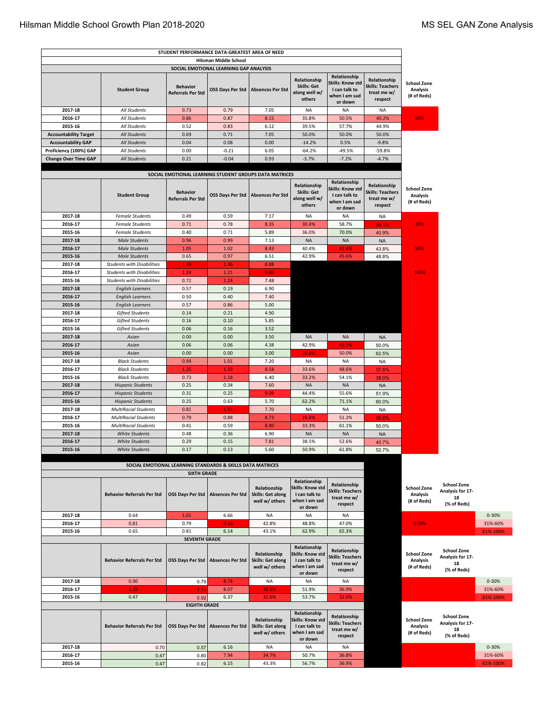|                                                       |                                                                                                                                                                                                                                                                                                                                                            | STUDENT PERFORMANCE DATA-GREATEST AREA OF NEED                                   |                         |                                                            |                                                                               |                                                                               |                                                                   |                                                      |                                                             |          |
|-------------------------------------------------------|------------------------------------------------------------------------------------------------------------------------------------------------------------------------------------------------------------------------------------------------------------------------------------------------------------------------------------------------------------|----------------------------------------------------------------------------------|-------------------------|------------------------------------------------------------|-------------------------------------------------------------------------------|-------------------------------------------------------------------------------|-------------------------------------------------------------------|------------------------------------------------------|-------------------------------------------------------------|----------|
|                                                       |                                                                                                                                                                                                                                                                                                                                                            |                                                                                  | Hilsman Middle School   |                                                            |                                                                               |                                                                               |                                                                   |                                                      |                                                             |          |
|                                                       | SOCIAL EMOTIONAL LEARNING GAP ANALYSIS<br>Relationship<br>Relationship<br>Relationship<br>Skills: Know std<br><b>Skills: Get</b><br><b>Skills: Teachers</b><br><b>Behavior</b><br><b>Absences Per Std</b><br>I can talk to<br><b>Student Group</b><br><b>OSS Days Per Std</b><br><b>Referrals Per Std</b><br>along well w/<br>treat me w/<br>when I am sad |                                                                                  |                         |                                                            |                                                                               |                                                                               |                                                                   | <b>School Zone</b><br><b>Analysis</b><br>(# of Reds) |                                                             |          |
|                                                       |                                                                                                                                                                                                                                                                                                                                                            |                                                                                  |                         |                                                            | others                                                                        | or down                                                                       | respect                                                           |                                                      |                                                             |          |
| 2017-18                                               | <b>All Students</b>                                                                                                                                                                                                                                                                                                                                        | 0.73                                                                             | 0.79                    | 7.05                                                       | <b>NA</b>                                                                     | <b>NA</b>                                                                     | <b>NA</b>                                                         |                                                      |                                                             |          |
| 2016-17                                               | All Students                                                                                                                                                                                                                                                                                                                                               | 0.86                                                                             | 0.87                    | 8.15                                                       | 35.8%                                                                         | 50.5%                                                                         | 40.2%                                                             | 50%                                                  |                                                             |          |
| 2015-16                                               | All Students                                                                                                                                                                                                                                                                                                                                               | 0.52                                                                             | 0.83                    | 6.12                                                       | 39.5%                                                                         | 57.7%                                                                         | 44.9%                                                             |                                                      |                                                             |          |
| <b>Accountability Target</b>                          | <b>All Students</b>                                                                                                                                                                                                                                                                                                                                        | 0.69                                                                             | 0.71                    | 7.05                                                       | 50.0%                                                                         | 50.0%                                                                         | 50.0%                                                             |                                                      |                                                             |          |
| <b>Accountability GAP</b>                             | <b>All Students</b><br>All Students                                                                                                                                                                                                                                                                                                                        | 0.04<br>0.00                                                                     | 0.08<br>$-0.21$         | 0.00<br>6.05                                               | $-14.2%$                                                                      | 0.5%                                                                          | $-9.8%$                                                           |                                                      |                                                             |          |
| Proficiency (100%) GAP<br><b>Change Over Time GAP</b> | <b>All Students</b>                                                                                                                                                                                                                                                                                                                                        | 0.21                                                                             | $-0.04$                 | 0.93                                                       | $-64.2%$<br>$-3.7%$                                                           | -49.5%<br>$-7.2%$                                                             | -59.8%<br>$-4.7%$                                                 |                                                      |                                                             |          |
|                                                       |                                                                                                                                                                                                                                                                                                                                                            |                                                                                  |                         |                                                            |                                                                               |                                                                               |                                                                   |                                                      |                                                             |          |
|                                                       |                                                                                                                                                                                                                                                                                                                                                            | SOCIAL EMOTIONAL LEARNING STUDENT GROUPS DATA MATRICES                           |                         |                                                            |                                                                               |                                                                               |                                                                   |                                                      |                                                             |          |
|                                                       | <b>Student Group</b>                                                                                                                                                                                                                                                                                                                                       | <b>Behavior</b><br><b>Referrals Per Std</b>                                      | OSS Days Per Std        | <b>Absences Per Std</b>                                    | Relationship<br><b>Skills: Get</b><br>along well w/<br>others                 | Relationship<br>Skills: Know std<br>I can talk to<br>when I am sad<br>or down | Relationship<br><b>Skills: Teachers</b><br>treat me w/<br>respect | <b>School Zone</b><br><b>Analysis</b><br>(# of Reds) |                                                             |          |
| 2017-18                                               | <b>Female Students</b>                                                                                                                                                                                                                                                                                                                                     | 0.49                                                                             | 0.59                    | 7.17                                                       | <b>NA</b>                                                                     | <b>NA</b>                                                                     | NA                                                                |                                                      |                                                             |          |
| 2016-17                                               | <b>Female Students</b>                                                                                                                                                                                                                                                                                                                                     | 0.71                                                                             | 0.78                    | 8.35                                                       | 30.4%                                                                         | 58.7%                                                                         | 36.1%                                                             | 39%                                                  |                                                             |          |
| 2015-16                                               | <b>Female Students</b>                                                                                                                                                                                                                                                                                                                                     | 0.40                                                                             | 0.71                    | 5.89                                                       | 36.0%                                                                         | 70.0%                                                                         | 40.9%                                                             |                                                      |                                                             |          |
| 2017-18                                               | <b>Male Students</b>                                                                                                                                                                                                                                                                                                                                       | 0.96                                                                             | 0.99                    | 7.13                                                       | <b>NA</b>                                                                     | <b>NA</b>                                                                     | <b>NA</b>                                                         |                                                      |                                                             |          |
| 2016-17<br>2015-16                                    | <b>Male Students</b><br><b>Male Students</b>                                                                                                                                                                                                                                                                                                               | 1.05<br>0.65                                                                     | 1.02<br>0.97            | 8.43<br>6.51                                               | 40.4%<br>42.9%                                                                | 43.4%<br>45.6%                                                                | 43.8%<br>48.8%                                                    | 50%                                                  |                                                             |          |
| 2017-18                                               | <b>Students with Disabilities</b>                                                                                                                                                                                                                                                                                                                          | 1.39                                                                             | 1.36                    | 8.88                                                       |                                                                               |                                                                               |                                                                   |                                                      |                                                             |          |
| 2016-17                                               | <b>Students with Disabilities</b>                                                                                                                                                                                                                                                                                                                          | 1.24                                                                             | 1.21                    | 9.46                                                       |                                                                               |                                                                               |                                                                   | 100%                                                 |                                                             |          |
| 2015-16                                               | <b>Students with Disabilities</b>                                                                                                                                                                                                                                                                                                                          | 0.72                                                                             | 1.24                    | 7.48                                                       |                                                                               |                                                                               |                                                                   |                                                      |                                                             |          |
| 2017-18                                               | <b>English Learners</b>                                                                                                                                                                                                                                                                                                                                    | 0.57                                                                             | 0.19                    | 6.90                                                       |                                                                               |                                                                               |                                                                   |                                                      |                                                             |          |
| 2016-17                                               | <b>English Learners</b>                                                                                                                                                                                                                                                                                                                                    | 0.50                                                                             | 0.40                    | 7.40                                                       |                                                                               |                                                                               |                                                                   |                                                      |                                                             |          |
| 2015-16                                               | <b>English Learners</b>                                                                                                                                                                                                                                                                                                                                    | 0.57                                                                             | 0.86                    | 5.00                                                       |                                                                               |                                                                               |                                                                   |                                                      |                                                             |          |
| 2017-18                                               | <b>Gifted Students</b>                                                                                                                                                                                                                                                                                                                                     | 0.14                                                                             | 0.21                    | 4.90                                                       |                                                                               |                                                                               |                                                                   |                                                      |                                                             |          |
| 2016-17                                               | <b>Gifted Students</b>                                                                                                                                                                                                                                                                                                                                     | 0.16                                                                             | 0.10                    | 5.85                                                       |                                                                               |                                                                               |                                                                   |                                                      |                                                             |          |
| 2015-16                                               | <b>Gifted Students</b>                                                                                                                                                                                                                                                                                                                                     | 0.06                                                                             | 0.16                    | 3.52                                                       |                                                                               |                                                                               |                                                                   |                                                      |                                                             |          |
| 2017-18<br>2016-17                                    | Asian<br>Asian                                                                                                                                                                                                                                                                                                                                             | 0.00<br>0.06                                                                     | 0.00<br>0.06            | 3.50<br>4.38                                               | <b>NA</b><br>42.9%                                                            | <b>NA</b><br>42.9%                                                            | <b>NA</b><br>50.0%                                                |                                                      |                                                             |          |
| 2015-16                                               | Asian                                                                                                                                                                                                                                                                                                                                                      | 0.00                                                                             | 0.00                    | 3.00                                                       | 25.0%                                                                         | 50.0%                                                                         | 62.5%                                                             |                                                      |                                                             |          |
| 2017-18                                               | <b>Black Students</b>                                                                                                                                                                                                                                                                                                                                      | 0.94                                                                             | 1.01                    | 7.20                                                       | ΝA                                                                            | <b>NA</b>                                                                     | <b>NA</b>                                                         |                                                      |                                                             |          |
| 2016-17                                               | <b>Black Students</b>                                                                                                                                                                                                                                                                                                                                      | 1.25                                                                             | 1.33                    | 8.58                                                       | 33.6%                                                                         | 48.6%                                                                         | 37.5%                                                             |                                                      |                                                             |          |
| 2015-16                                               | <b>Black Students</b>                                                                                                                                                                                                                                                                                                                                      | 0.73                                                                             | 1.18                    | 6.40                                                       | 33.2%                                                                         | 54.1%                                                                         | 38.0%                                                             |                                                      |                                                             |          |
| 2017-18                                               | <b>Hispanic Students</b>                                                                                                                                                                                                                                                                                                                                   | 0.25                                                                             | 0.34                    | 7.60                                                       | <b>NA</b>                                                                     | <b>NA</b>                                                                     | <b>NA</b>                                                         |                                                      |                                                             |          |
| 2016-17                                               | <b>Hispanic Students</b>                                                                                                                                                                                                                                                                                                                                   | 0.31                                                                             | 0.25                    | 9.09                                                       | 44.4%                                                                         | 55.6%                                                                         | 51.9%                                                             |                                                      |                                                             |          |
| 2015-16                                               | <b>Hispanic Students</b>                                                                                                                                                                                                                                                                                                                                   | 0.25                                                                             | 0.63                    | 5.70                                                       | 62.2%                                                                         | 71.1%                                                                         | 60.0%                                                             |                                                      |                                                             |          |
| 2017-18                                               | <b>MultiRacial Students</b>                                                                                                                                                                                                                                                                                                                                | 0.81                                                                             | 1.41                    | 7.70                                                       | ΝA                                                                            | NA<br>51.2%                                                                   | NA                                                                |                                                      |                                                             |          |
| 2016-17<br>2015-16                                    | <b>MultiRacial Students</b><br><b>MultiRacial Students</b>                                                                                                                                                                                                                                                                                                 | 0.79<br>0.41                                                                     | 0.88<br>0.59            | 8.73<br>8.80                                               | 26.8%<br>33.3%                                                                | 61.1%                                                                         | 36.6%<br>50.0%                                                    |                                                      |                                                             |          |
| 2017-18                                               | White Students                                                                                                                                                                                                                                                                                                                                             | 0.48                                                                             | 0.36                    | 6.90                                                       | <b>NA</b>                                                                     | <b>NA</b>                                                                     | <b>NA</b>                                                         |                                                      |                                                             |          |
| 2016-17                                               | White Students                                                                                                                                                                                                                                                                                                                                             | 0.29                                                                             | 0.15                    | 7.81                                                       | 38.5%                                                                         | 52.6%                                                                         | 40.7%                                                             |                                                      |                                                             |          |
| 2015-16                                               | White Students                                                                                                                                                                                                                                                                                                                                             | 0.17                                                                             | 0.13                    | 5.60                                                       | 50.9%                                                                         | 61.8%                                                                         | 52.7%                                                             |                                                      |                                                             |          |
|                                                       |                                                                                                                                                                                                                                                                                                                                                            |                                                                                  |                         |                                                            |                                                                               |                                                                               |                                                                   |                                                      |                                                             |          |
|                                                       |                                                                                                                                                                                                                                                                                                                                                            | SOCIAL EMOTIONAL LEARNING STANDARDS & SKILLS DATA MATRICES<br><b>SIXTH GRADE</b> |                         |                                                            |                                                                               |                                                                               |                                                                   |                                                      |                                                             |          |
|                                                       | <b>Behavior Referrals Per Std</b>                                                                                                                                                                                                                                                                                                                          | <b>OSS Days Per Std</b>                                                          | <b>Absences Per Std</b> | Relationship<br><b>Skills: Get along</b><br>well w/ others | Relationship<br>Skills: Know std<br>I can talk to<br>when I am sad<br>or down | Relationship<br><b>Skills: Teachers</b><br>treat me w/<br>respect             |                                                                   | <b>School Zone</b><br>Analysis<br>(# of Reds)        | <b>School Zone</b><br>Analysis for 17-<br>18<br>(% of Reds) |          |
| 2017-18                                               | 0.64                                                                                                                                                                                                                                                                                                                                                       | 1.01                                                                             | 6.66                    | NA                                                         | NA                                                                            | NA                                                                            |                                                                   |                                                      |                                                             | 0-30%    |
| 2016-17                                               | 0.81                                                                                                                                                                                                                                                                                                                                                       | 0.79                                                                             | 9.16                    | 42.8%                                                      | 48.8%                                                                         | 47.0%                                                                         |                                                                   | 3.00%                                                |                                                             | 31%-60%  |
| 2015-16                                               | 0.65                                                                                                                                                                                                                                                                                                                                                       | 0.81                                                                             | 6.14                    | 43.1%                                                      | 62.9%                                                                         | 65.3%                                                                         |                                                                   |                                                      |                                                             | 61%-100% |
|                                                       | <b>Behavior Referrals Per Std</b>                                                                                                                                                                                                                                                                                                                          | <b>SEVENTH GRADE</b><br><b>OSS Days Per Std</b>                                  | <b>Absences Per Std</b> | Relationship<br><b>Skills: Get along</b><br>well w/ others | Relationship<br>Skills: Know std<br>I can talk to<br>when I am sad<br>or down | Relationship<br><b>Skills: Teachers</b><br>treat me w/<br>respect             |                                                                   | <b>School Zone</b><br>Analysis<br>(# of Reds)        | <b>School Zone</b><br>Analysis for 17-<br>18<br>(% of Reds) |          |
| 2017-18                                               | 0.90                                                                                                                                                                                                                                                                                                                                                       | 0.79                                                                             | 8.74                    | <b>NA</b>                                                  | <b>NA</b>                                                                     | <b>NA</b>                                                                     |                                                                   |                                                      |                                                             | 0-30%    |
| 2016-17                                               | 1.35                                                                                                                                                                                                                                                                                                                                                       | 1.11                                                                             | 8.07                    | 30.5%                                                      | 51.9%                                                                         | 36.9%                                                                         |                                                                   |                                                      |                                                             | 31%-60%  |
| 2015-16                                               | 0.47                                                                                                                                                                                                                                                                                                                                                       | 0.92                                                                             | 6.37                    | 32.6%                                                      | 53.7%                                                                         | 32.6%                                                                         |                                                                   |                                                      |                                                             | 61%-100% |
|                                                       | <b>Behavior Referrals Per Std</b>                                                                                                                                                                                                                                                                                                                          | <b>EIGHTH GRADE</b><br><b>OSS Days Per Std</b>                                   | <b>Absences Per Std</b> | Relationship<br><b>Skills: Get along</b><br>well w/ others | Relationship<br>Skills: Know std<br>I can talk to<br>when I am sad<br>or down | Relationship<br><b>Skills: Teachers</b><br>treat me w/<br>respect             |                                                                   | <b>School Zone</b><br>Analysis<br>(# of Reds)        | <b>School Zone</b><br>Analysis for 17-<br>18<br>(% of Reds) |          |
| 2017-18                                               | 0.70                                                                                                                                                                                                                                                                                                                                                       | 0.57                                                                             | 6.16                    | <b>NA</b>                                                  | <b>NA</b>                                                                     | <b>NA</b>                                                                     |                                                                   |                                                      |                                                             | 0-30%    |
| 2016-17                                               | 0.47                                                                                                                                                                                                                                                                                                                                                       | 0.80                                                                             | 7.94                    | 34.7%                                                      | 50.7%                                                                         | 36.8%                                                                         |                                                                   |                                                      |                                                             | 31%-60%  |
| 2015-16                                               | 0.47                                                                                                                                                                                                                                                                                                                                                       | 0.82                                                                             | 6.15                    | 43.3%                                                      | 56.7%                                                                         | 36.9%                                                                         |                                                                   |                                                      |                                                             | 61%-100% |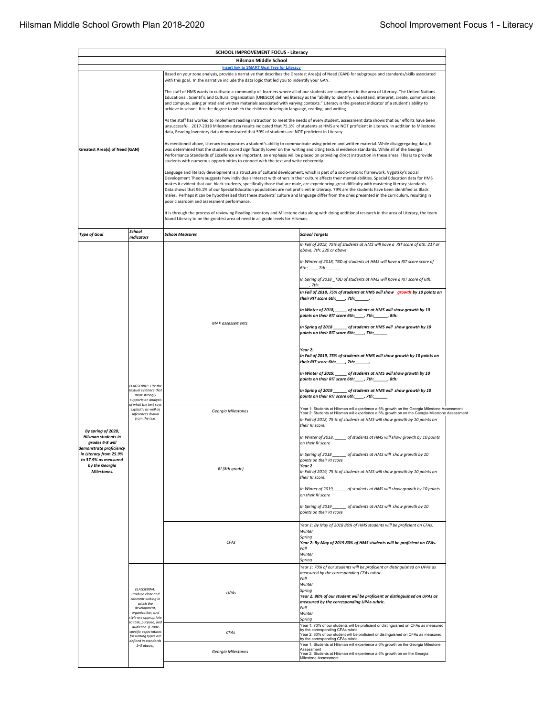| <b>SCHOOL IMPROVEMENT FOCUS - Literacy</b><br><b>Hilsman Middle School</b>                                                                                                                                                                                                                                                                                                                         |                                                                                                                 |                                                                                                                                                                                                                                                                                                                                                                                                                 |                                                                                                                                                                                                                                                                                                                                                                                                                                                                                                                                                                                                                                                                                                                                                     |  |  |  |  |  |  |
|----------------------------------------------------------------------------------------------------------------------------------------------------------------------------------------------------------------------------------------------------------------------------------------------------------------------------------------------------------------------------------------------------|-----------------------------------------------------------------------------------------------------------------|-----------------------------------------------------------------------------------------------------------------------------------------------------------------------------------------------------------------------------------------------------------------------------------------------------------------------------------------------------------------------------------------------------------------|-----------------------------------------------------------------------------------------------------------------------------------------------------------------------------------------------------------------------------------------------------------------------------------------------------------------------------------------------------------------------------------------------------------------------------------------------------------------------------------------------------------------------------------------------------------------------------------------------------------------------------------------------------------------------------------------------------------------------------------------------------|--|--|--|--|--|--|
|                                                                                                                                                                                                                                                                                                                                                                                                    |                                                                                                                 | <b>Insert link to SMART Goal Tree for Literacy</b>                                                                                                                                                                                                                                                                                                                                                              |                                                                                                                                                                                                                                                                                                                                                                                                                                                                                                                                                                                                                                                                                                                                                     |  |  |  |  |  |  |
| Based on your zone analysis, provide a narrative that describes the Greatest Area(s) of Need (GAN) for subgroups and standards/skills associated<br>with this goal. In the narrative include the data logic that led you to indentify your GAN.<br>The staff of HMS wants to cultivate a community of learners where all of our students are competent in the area of Literacy. The United Nations |                                                                                                                 |                                                                                                                                                                                                                                                                                                                                                                                                                 |                                                                                                                                                                                                                                                                                                                                                                                                                                                                                                                                                                                                                                                                                                                                                     |  |  |  |  |  |  |
|                                                                                                                                                                                                                                                                                                                                                                                                    |                                                                                                                 | Educational, Scientific and Cultural Organization (UNESCO) defines literacy as the "ability to identify, understand, interpret, create, communicate<br>and compute, using printed and written materials associated with varying contexts." Literacy is the greatest indicator of a student's ability to<br>achieve in school. It is the degree to which the children develop in language, reading, and writing. |                                                                                                                                                                                                                                                                                                                                                                                                                                                                                                                                                                                                                                                                                                                                                     |  |  |  |  |  |  |
|                                                                                                                                                                                                                                                                                                                                                                                                    |                                                                                                                 | As the staff has worked to implement reading instruction to meet the needs of every student, assessment data shows that our efforts have been<br>unsuccessful. 2017-2018 Milestone data results indicated that 75.3% of students at HMS are NOT proficient in Literacy. In addition to Milestone<br>data, Reading Inventory data demonstrated that 59% of students are NOT proficient in Literacy.              |                                                                                                                                                                                                                                                                                                                                                                                                                                                                                                                                                                                                                                                                                                                                                     |  |  |  |  |  |  |
| <b>Greatest Area(s) of Need (GAN)</b>                                                                                                                                                                                                                                                                                                                                                              |                                                                                                                 | students with numerous opportunities to connect with the text and write coherently.                                                                                                                                                                                                                                                                                                                             | As mentioned above, Literacy incorporates a student's ability to communicate using printed and written material. While disaggregating data, it<br>was determined that the students scored significantly lower on the writing and citing textual evidence standards. While all of the Georgia<br>Performance Standards of Excellence are important, an emphasis will be placed on providing direct instruction in these areas. This is to provide                                                                                                                                                                                                                                                                                                    |  |  |  |  |  |  |
|                                                                                                                                                                                                                                                                                                                                                                                                    |                                                                                                                 | poor classroom and assessment performance.                                                                                                                                                                                                                                                                                                                                                                      | Language and literacy development is a structure of cultural development, which is part of a socio-historic framework. Vygotsky's Social<br>Development Theory suggests how individuals interact with others in their culture affects their mental abilities. Special Education data for HMS<br>makes it evident that our black students, specifically those that are male, are experiencing great difficulty with mastering literacy standards.<br>Data shows that 96.1% of our Special Education populations are not proficient in Literacy. 79% are the students have been identified as Black<br>males. Perhaps it can be hypothesized that these students' culture and language differ from the ones presented in the curriculum, resulting in |  |  |  |  |  |  |
|                                                                                                                                                                                                                                                                                                                                                                                                    |                                                                                                                 | found Literacy to be the greatest area of need in all grade levels for Hilsman.                                                                                                                                                                                                                                                                                                                                 | It is through the process of reviewing Reading Inventory and Milestone data along with doing additional research in the area of Literacy, the team                                                                                                                                                                                                                                                                                                                                                                                                                                                                                                                                                                                                  |  |  |  |  |  |  |
| <b>Type of Goal</b>                                                                                                                                                                                                                                                                                                                                                                                | School<br><b>Indicators</b>                                                                                     | <b>School Measures</b>                                                                                                                                                                                                                                                                                                                                                                                          | <b>School Targets</b>                                                                                                                                                                                                                                                                                                                                                                                                                                                                                                                                                                                                                                                                                                                               |  |  |  |  |  |  |
|                                                                                                                                                                                                                                                                                                                                                                                                    |                                                                                                                 |                                                                                                                                                                                                                                                                                                                                                                                                                 | In Fall of 2018, 75% of students at HMS will have a RIT score of 6th: 217 or<br>above. 7th: 220 or above                                                                                                                                                                                                                                                                                                                                                                                                                                                                                                                                                                                                                                            |  |  |  |  |  |  |
|                                                                                                                                                                                                                                                                                                                                                                                                    |                                                                                                                 |                                                                                                                                                                                                                                                                                                                                                                                                                 | In Winter of 2018, TBD of students at HMS will have a RIT score score of                                                                                                                                                                                                                                                                                                                                                                                                                                                                                                                                                                                                                                                                            |  |  |  |  |  |  |
|                                                                                                                                                                                                                                                                                                                                                                                                    |                                                                                                                 |                                                                                                                                                                                                                                                                                                                                                                                                                 | $6th:$ , 7th:<br>In Spring of 2018_TBD of students at HMS will have a RIT score of 6th:                                                                                                                                                                                                                                                                                                                                                                                                                                                                                                                                                                                                                                                             |  |  |  |  |  |  |
|                                                                                                                                                                                                                                                                                                                                                                                                    |                                                                                                                 |                                                                                                                                                                                                                                                                                                                                                                                                                 | , 7th:<br>In Fall of 2018, 75% of students at HMS will show growth by 10 points on                                                                                                                                                                                                                                                                                                                                                                                                                                                                                                                                                                                                                                                                  |  |  |  |  |  |  |
|                                                                                                                                                                                                                                                                                                                                                                                                    |                                                                                                                 |                                                                                                                                                                                                                                                                                                                                                                                                                 | their RIT score 6th:____, 7th:__<br>In Winter of 2018, _____ of students at HMS will show growth by 10                                                                                                                                                                                                                                                                                                                                                                                                                                                                                                                                                                                                                                              |  |  |  |  |  |  |
|                                                                                                                                                                                                                                                                                                                                                                                                    |                                                                                                                 | MAP assessements                                                                                                                                                                                                                                                                                                                                                                                                | points on their RIT score 6th: ____, 7th: _____, 8th:                                                                                                                                                                                                                                                                                                                                                                                                                                                                                                                                                                                                                                                                                               |  |  |  |  |  |  |
|                                                                                                                                                                                                                                                                                                                                                                                                    |                                                                                                                 |                                                                                                                                                                                                                                                                                                                                                                                                                 | In Spring of 2018 ______ of students at HMS will show growth by 10<br>points on their RIT score 6th: _____, 7th:                                                                                                                                                                                                                                                                                                                                                                                                                                                                                                                                                                                                                                    |  |  |  |  |  |  |
|                                                                                                                                                                                                                                                                                                                                                                                                    |                                                                                                                 |                                                                                                                                                                                                                                                                                                                                                                                                                 | Year 2:<br>In Fall of 2019, 75% of students at HMS will show growth by 10 points on<br>their RIT score 6th:____, 7th:_____,                                                                                                                                                                                                                                                                                                                                                                                                                                                                                                                                                                                                                         |  |  |  |  |  |  |
|                                                                                                                                                                                                                                                                                                                                                                                                    |                                                                                                                 |                                                                                                                                                                                                                                                                                                                                                                                                                 | In Winter of 2019, _____ of students at HMS will show growth by 10<br>points on their RIT score 6th: _____, 7th: ______, 8th:                                                                                                                                                                                                                                                                                                                                                                                                                                                                                                                                                                                                                       |  |  |  |  |  |  |
|                                                                                                                                                                                                                                                                                                                                                                                                    | ELAGSE8RI1: Cite the<br>textual evidence that<br>most strongly<br>supports an analysis<br>of what the text says |                                                                                                                                                                                                                                                                                                                                                                                                                 | In Spring of 2019 ______ of students at HMS will show growth by 10<br>points on their RIT score 6th: ____, 7th:                                                                                                                                                                                                                                                                                                                                                                                                                                                                                                                                                                                                                                     |  |  |  |  |  |  |
|                                                                                                                                                                                                                                                                                                                                                                                                    | explicitly as well as<br>inferences drawn                                                                       | Georgia Milestones                                                                                                                                                                                                                                                                                                                                                                                              | Year 1: Students at Hilsman will experience a 6% growth on the Georgia Milestone Assessment<br>Year 2: Students at Hilsman will experience a 6% growth on on the Georgia Milestone Assessment                                                                                                                                                                                                                                                                                                                                                                                                                                                                                                                                                       |  |  |  |  |  |  |
| By spring of 2020,<br>Hilsman students in<br>grades 6-8 will                                                                                                                                                                                                                                                                                                                                       | from the text.                                                                                                  |                                                                                                                                                                                                                                                                                                                                                                                                                 | In Fall of 2018, 75 % of students at HMS will show growth by 10 points on<br>their RI score.<br>In Winter of 2018, _____ of students at HMS will show growth by 10 points<br>on their RI score                                                                                                                                                                                                                                                                                                                                                                                                                                                                                                                                                      |  |  |  |  |  |  |
| demonstrate proficiency<br>in Literacy from 25.9%<br>to 37.9% as measured                                                                                                                                                                                                                                                                                                                          |                                                                                                                 |                                                                                                                                                                                                                                                                                                                                                                                                                 | In Spring of 2018<br>__ of students at HMS will show growth by 10<br>points on their RI score                                                                                                                                                                                                                                                                                                                                                                                                                                                                                                                                                                                                                                                       |  |  |  |  |  |  |
| by the Georgia<br>Milestones.                                                                                                                                                                                                                                                                                                                                                                      |                                                                                                                 | RI (8th grade)                                                                                                                                                                                                                                                                                                                                                                                                  | Year 2<br>In Fall of 2019, 75 % of students at HMS will show growth by 10 points on                                                                                                                                                                                                                                                                                                                                                                                                                                                                                                                                                                                                                                                                 |  |  |  |  |  |  |
|                                                                                                                                                                                                                                                                                                                                                                                                    |                                                                                                                 |                                                                                                                                                                                                                                                                                                                                                                                                                 | their RI score.<br>In Winter of 2019, ______ of students at HMS will show growth by 10 points                                                                                                                                                                                                                                                                                                                                                                                                                                                                                                                                                                                                                                                       |  |  |  |  |  |  |
|                                                                                                                                                                                                                                                                                                                                                                                                    |                                                                                                                 |                                                                                                                                                                                                                                                                                                                                                                                                                 | on their RI score<br>In Spring of 2019 _______ of students at HMS will show growth by 10                                                                                                                                                                                                                                                                                                                                                                                                                                                                                                                                                                                                                                                            |  |  |  |  |  |  |
|                                                                                                                                                                                                                                                                                                                                                                                                    |                                                                                                                 |                                                                                                                                                                                                                                                                                                                                                                                                                 | points on their RI score                                                                                                                                                                                                                                                                                                                                                                                                                                                                                                                                                                                                                                                                                                                            |  |  |  |  |  |  |
|                                                                                                                                                                                                                                                                                                                                                                                                    |                                                                                                                 |                                                                                                                                                                                                                                                                                                                                                                                                                 | Year 1: By May of 2018 80% of HMS students will be proficient on CFAs.<br>Winter<br>Spring                                                                                                                                                                                                                                                                                                                                                                                                                                                                                                                                                                                                                                                          |  |  |  |  |  |  |
|                                                                                                                                                                                                                                                                                                                                                                                                    |                                                                                                                 | CFAs                                                                                                                                                                                                                                                                                                                                                                                                            | Year 2: By May of 2019 80% of HMS students will be proficient on CFAs.<br>Fall<br>Winter                                                                                                                                                                                                                                                                                                                                                                                                                                                                                                                                                                                                                                                            |  |  |  |  |  |  |
|                                                                                                                                                                                                                                                                                                                                                                                                    |                                                                                                                 |                                                                                                                                                                                                                                                                                                                                                                                                                 | Spring<br>Year 1: 70% of our students will be proficient or distinguished on UPAs as                                                                                                                                                                                                                                                                                                                                                                                                                                                                                                                                                                                                                                                                |  |  |  |  |  |  |
|                                                                                                                                                                                                                                                                                                                                                                                                    |                                                                                                                 |                                                                                                                                                                                                                                                                                                                                                                                                                 | measured by the corresponding CFAs rubric.<br>Fall<br>Winter                                                                                                                                                                                                                                                                                                                                                                                                                                                                                                                                                                                                                                                                                        |  |  |  |  |  |  |
|                                                                                                                                                                                                                                                                                                                                                                                                    | ELAGSE8W4:<br>Produce clear and<br>coherent writing in                                                          | UPAs                                                                                                                                                                                                                                                                                                                                                                                                            | Spring<br>Year 2: 80% of our student will be proficient or distinguished on UPAs as                                                                                                                                                                                                                                                                                                                                                                                                                                                                                                                                                                                                                                                                 |  |  |  |  |  |  |
|                                                                                                                                                                                                                                                                                                                                                                                                    | which the<br>development,<br>organization, and                                                                  |                                                                                                                                                                                                                                                                                                                                                                                                                 | measured by the corresponding UPAs rubric.<br>Fall<br>Winter                                                                                                                                                                                                                                                                                                                                                                                                                                                                                                                                                                                                                                                                                        |  |  |  |  |  |  |
|                                                                                                                                                                                                                                                                                                                                                                                                    | style are appropriate<br>to task, purpose, and                                                                  |                                                                                                                                                                                                                                                                                                                                                                                                                 | Spring                                                                                                                                                                                                                                                                                                                                                                                                                                                                                                                                                                                                                                                                                                                                              |  |  |  |  |  |  |
|                                                                                                                                                                                                                                                                                                                                                                                                    | audience. (Grade-<br>specific expectations<br>for writing types are                                             | CFAs                                                                                                                                                                                                                                                                                                                                                                                                            | Year 1: 70% of our students will be proficient or distinguished on CFAs as measured<br>by the corresponding CFAs rubric.<br>Year 2: 80% of our student will be proficient or distinguished on CFAs as measured<br>by the corresponding CFAs rubric.                                                                                                                                                                                                                                                                                                                                                                                                                                                                                                 |  |  |  |  |  |  |
|                                                                                                                                                                                                                                                                                                                                                                                                    | defined in standards<br>$1 - 3$ above.)                                                                         | Georgia Milestones                                                                                                                                                                                                                                                                                                                                                                                              | Year 1: Students at Hilsman will experience a 6% growth on the Georgia Milestone<br>Assessment<br>Year 2: Students at Hilsman will experience a 6% growth on on the Georgia                                                                                                                                                                                                                                                                                                                                                                                                                                                                                                                                                                         |  |  |  |  |  |  |
|                                                                                                                                                                                                                                                                                                                                                                                                    |                                                                                                                 |                                                                                                                                                                                                                                                                                                                                                                                                                 | Milestone Assessment                                                                                                                                                                                                                                                                                                                                                                                                                                                                                                                                                                                                                                                                                                                                |  |  |  |  |  |  |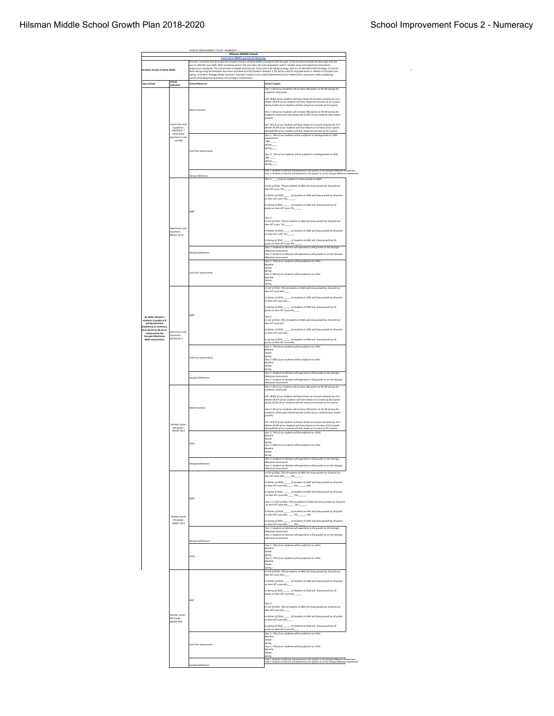1

|                                                                        |                                                  | SCHOOL IMPROVEMENT FOCUS - NUMERACY<br><b>Hilsman Middle School</b>                                                                                                             |                                                                                                                                                                                                                                       |  |  |  |
|------------------------------------------------------------------------|--------------------------------------------------|---------------------------------------------------------------------------------------------------------------------------------------------------------------------------------|---------------------------------------------------------------------------------------------------------------------------------------------------------------------------------------------------------------------------------------|--|--|--|
|                                                                        |                                                  | k to SMART goal tree for I<br>Provide a narrative that describes the Greatest Area(s) of Need (GAN) associated with this goal. In the narrative include the data logic that led |                                                                                                                                                                                                                                       |  |  |  |
| Greatest Area(s) of Need (GAN)                                         |                                                  |                                                                                                                                                                                 | you to indentify your GAN. After reviewing end-of-the year data, the area of greatest need is number sense and expressions/equations<br>progression standards. The school-wide strategies selected are: 1)Focused-note taking str     |  |  |  |
|                                                                        |                                                  |                                                                                                                                                                                 | Note-taking using the template document provided by AVID (Student Handout 2.1d) will be used for all grade levels in relation to focused-note<br>taking. 3) Panther Strategy (Read, Illustrate, Calculate, Explain) to be used/im     |  |  |  |
| <b>Type of Goal</b>                                                    | chool                                            | Constructed Response Questions and writing in mathematics.<br><b>School Measures</b>                                                                                            | <b>School Targets</b>                                                                                                                                                                                                                 |  |  |  |
|                                                                        | Indicators                                       |                                                                                                                                                                                 | Year 1: 6% of our students will increase 100 points on the MI during the                                                                                                                                                              |  |  |  |
|                                                                        |                                                  |                                                                                                                                                                                 | scademic school year                                                                                                                                                                                                                  |  |  |  |
|                                                                        |                                                  |                                                                                                                                                                                 | Fall .28.8% of our students will have shown an increase of points by 33.3<br>Winter 30.8 % of our students will have shown an increase of 33.3 points<br>Spring 32.8% of our students will hae shown an increase of 33.3 points       |  |  |  |
|                                                                        |                                                  | Math Inventory                                                                                                                                                                  | Year 2: 6% of our students will increase 100 points on the MI during the                                                                                                                                                              |  |  |  |
|                                                                        |                                                  |                                                                                                                                                                                 | academic school year (Assuming that 32.8% of ours students have shown<br>arowth)                                                                                                                                                      |  |  |  |
|                                                                        | Expressions and<br>Equations                     |                                                                                                                                                                                 | Fall 34.8 % of our students will have shown an increase of points by 33.3                                                                                                                                                             |  |  |  |
|                                                                        | MGSE8.EE.7<br>Solve linear                       |                                                                                                                                                                                 | .<br>Winter 36.8% of our students will have shown an increase of 33.3 points<br>Spring38.8% of our students will hae shown an increase of 33.3 points<br>.<br>Year 1: 70% of our students will be proficient or distinguished on UPAs |  |  |  |
|                                                                        | wations in one<br>variable                       |                                                                                                                                                                                 | ssessments.<br>TBD:                                                                                                                                                                                                                   |  |  |  |
|                                                                        |                                                  |                                                                                                                                                                                 | Winter<br>Spring                                                                                                                                                                                                                      |  |  |  |
|                                                                        |                                                  | <b>Unit Post Assessments</b>                                                                                                                                                    | Year 2: 75% of our students will be proficient or distinguished on UPAs                                                                                                                                                               |  |  |  |
|                                                                        |                                                  |                                                                                                                                                                                 | TBD:<br>Winter                                                                                                                                                                                                                        |  |  |  |
|                                                                        |                                                  |                                                                                                                                                                                 | Spring                                                                                                                                                                                                                                |  |  |  |
|                                                                        |                                                  | Georgia Milesto                                                                                                                                                                 | .<br>Year 1: Students at Hilsman will experience a 6% growth on the Georgia Milestone Assessment<br>Year 2: Students at Hilsman will experience a 6% growth on on the Georgia Milestone Assessment                                    |  |  |  |
|                                                                        |                                                  |                                                                                                                                                                                 | Year 1: ____% of our students to show growth on MAP.                                                                                                                                                                                  |  |  |  |
|                                                                        |                                                  |                                                                                                                                                                                 | In Fall of 2018, 75% of students at HMS will show growth by 10 points on<br>their RIT score 7th:                                                                                                                                      |  |  |  |
|                                                                        |                                                  |                                                                                                                                                                                 | In Winter of 2018.<br>_ of students at HMS will show growth by 10 points<br>on their RIT score 7th:                                                                                                                                   |  |  |  |
|                                                                        |                                                  |                                                                                                                                                                                 |                                                                                                                                                                                                                                       |  |  |  |
|                                                                        |                                                  | MAP                                                                                                                                                                             |                                                                                                                                                                                                                                       |  |  |  |
|                                                                        |                                                  |                                                                                                                                                                                 | Year 2.                                                                                                                                                                                                                               |  |  |  |
|                                                                        |                                                  |                                                                                                                                                                                 | In Fall of 2019, 75% of students at HMS will show growth by 10 points on<br>their RIT score, 7th:                                                                                                                                     |  |  |  |
|                                                                        | Expressions and<br>Equations:<br>MGSE7.EE.40     |                                                                                                                                                                                 |                                                                                                                                                                                                                                       |  |  |  |
|                                                                        |                                                  |                                                                                                                                                                                 | In Spring of 2019<br>of students at HMS will show growth by 10                                                                                                                                                                        |  |  |  |
|                                                                        |                                                  |                                                                                                                                                                                 | points on their RIT score 7th:                                                                                                                                                                                                        |  |  |  |
|                                                                        |                                                  | .<br>Georgia Milestones                                                                                                                                                         | Milestone Assessment<br>Fear 2: Students at Hilsman will experience a 6% growth on on the Georgia                                                                                                                                     |  |  |  |
|                                                                        |                                                  |                                                                                                                                                                                 | Milestone Assessment<br>Year 1: 75% of our students will be proficient on UPAs.                                                                                                                                                       |  |  |  |
|                                                                        |                                                  |                                                                                                                                                                                 | Baseline<br>Winter                                                                                                                                                                                                                    |  |  |  |
|                                                                        |                                                  | <b>Unit Post Assessments</b>                                                                                                                                                    | Spring                                                                                                                                                                                                                                |  |  |  |
|                                                                        |                                                  |                                                                                                                                                                                 | Winter                                                                                                                                                                                                                                |  |  |  |
|                                                                        |                                                  |                                                                                                                                                                                 | In Fall of 2018, 75% of students at HMS will show growth by 10 points on<br>their RIT score 6th:                                                                                                                                      |  |  |  |
|                                                                        |                                                  |                                                                                                                                                                                 | In Winter of 2018, _______ of students at HMS will show growth by 10 points<br>on their RIT score 6th:____                                                                                                                            |  |  |  |
|                                                                        |                                                  |                                                                                                                                                                                 |                                                                                                                                                                                                                                       |  |  |  |
|                                                                        | Expressions and<br>.<br>Equations:<br>MGSE6.EE.9 |                                                                                                                                                                                 | In Spring of 2018<br>of students at HMS will show growth by 10<br>points on their RIT score 6th:                                                                                                                                      |  |  |  |
| By 2020, Hilsman's                                                     |                                                  | MAP                                                                                                                                                                             | Year 2.<br>In Fall of 2019, 7S% of students at HMS will show growth by 10 points on                                                                                                                                                   |  |  |  |
| students in grades 6-8<br>will den<br>vostrate<br>roficiency in numero |                                                  |                                                                                                                                                                                 | their RIT score 6th:                                                                                                                                                                                                                  |  |  |  |
| from 26.3% to 38.3% as<br>measured by the                              |                                                  |                                                                                                                                                                                 | In Winter of 2019, _______ of students at HMS will show growth by 10 points<br>on their RIT score 6th:                                                                                                                                |  |  |  |
| <b>Georgia Milestones</b><br>Math assessments.                         |                                                  |                                                                                                                                                                                 | In Spring of 2019<br>of students at HMS will show growth by 10                                                                                                                                                                        |  |  |  |
|                                                                        |                                                  |                                                                                                                                                                                 | points on their RIT score 6th<br>Year 1: 75% of our students will be proficient on UPAs                                                                                                                                               |  |  |  |
|                                                                        |                                                  |                                                                                                                                                                                 | Baseline<br>Winter                                                                                                                                                                                                                    |  |  |  |
|                                                                        |                                                  | <b>Unit Post Assessments</b>                                                                                                                                                    | <br>Spring<br>Year 2: 80% of our students will be proficient on UPAs<br><b>Baseline</b>                                                                                                                                               |  |  |  |
|                                                                        |                                                  |                                                                                                                                                                                 | Winter<br>Spring                                                                                                                                                                                                                      |  |  |  |
|                                                                        |                                                  |                                                                                                                                                                                 | Year 1: Students at Hilsman will experience a 6% growth on the Georgia<br><b>Nestone Assessment</b>                                                                                                                                   |  |  |  |
|                                                                        |                                                  | Georgia Milestones                                                                                                                                                              | Year 2: Students at Hilsman will experience a 6% growth on on the Georgia<br>Milestone Assessment                                                                                                                                     |  |  |  |
|                                                                        |                                                  |                                                                                                                                                                                 | Year 1: 6% of our students will increase 100 points on the MI during the<br>academic school yea                                                                                                                                       |  |  |  |
|                                                                        |                                                  |                                                                                                                                                                                 | Fall 28.8% of our students will have shown an increase of points by 33.3<br>Winter 30.8 % of our students will have shown an increase of 33.3 points                                                                                  |  |  |  |
|                                                                        |                                                  |                                                                                                                                                                                 | Spring 32.8% of our students will hae shown an increase of 33.3 points                                                                                                                                                                |  |  |  |
|                                                                        |                                                  | Math Inventory                                                                                                                                                                  | Year 2: 6% of our students will increase 100 points on the MI during the<br>academic school year (Assuming that 32.8% of ours students have shown                                                                                     |  |  |  |
|                                                                        |                                                  |                                                                                                                                                                                 | growth)                                                                                                                                                                                                                               |  |  |  |
|                                                                        | Number Sense                                     |                                                                                                                                                                                 | Fall 34.8 % of our students will have shown an increase of points by 33.3<br>Winter 36.8% of our students will have shown an increase of 33.3 points                                                                                  |  |  |  |
|                                                                        | Sth grade -<br>MGSE7.NS.1                        |                                                                                                                                                                                 | Spring38.8% of our students will hae shown an increase of 33.3 points<br>Year 1: 75% of our students will be proficient on UPAs.<br>Baseline                                                                                          |  |  |  |
|                                                                        |                                                  |                                                                                                                                                                                 | Winter                                                                                                                                                                                                                                |  |  |  |
|                                                                        |                                                  | UPAs                                                                                                                                                                            | venn<br>Spring<br>Year 2: 80% of our students will be proficient on UPAs<br>Baseline                                                                                                                                                  |  |  |  |
|                                                                        |                                                  |                                                                                                                                                                                 | Spring                                                                                                                                                                                                                                |  |  |  |
|                                                                        |                                                  | Georgia Milestones                                                                                                                                                              | .<br>Year 1: Students at Hilsman will experience a 6% growth on the Georgia<br>Milestone Assessment                                                                                                                                   |  |  |  |
|                                                                        |                                                  |                                                                                                                                                                                 | .<br>Year 2: Students at Hilsman will experience a 6% growth on on the Georgia<br><b>Westone Assessment</b><br>In Fall of 2018, 75% of students at HMS will show growth by 10 points or                                               |  |  |  |
|                                                                        |                                                  |                                                                                                                                                                                 | their RIT score 6th: 7th:                                                                                                                                                                                                             |  |  |  |
|                                                                        |                                                  |                                                                                                                                                                                 | in Winter of 2018, ______ of students at HMS will show growth by 10 points<br>on their RIT scare 6th:______, 7th:______, 8th:<br>In Winter of 2018,                                                                                   |  |  |  |
|                                                                        |                                                  |                                                                                                                                                                                 | in Spring of 2018 ________ of students at HMS will show growth by 10 points<br>on their RIT score 6th:______, 7th:_______<br>In Saring of 2018                                                                                        |  |  |  |
|                                                                        |                                                  | MAP                                                                                                                                                                             |                                                                                                                                                                                                                                       |  |  |  |
|                                                                        |                                                  |                                                                                                                                                                                 | Year 2: In Fall of 2019, 7S% of students at HMS will show arowth by 10 points<br>on their RIT score 6th: 7th:                                                                                                                         |  |  |  |
|                                                                        |                                                  |                                                                                                                                                                                 | In Winter of 2019.<br>_ of students at HMS will show growth by 10 points<br>on their RIT score 6th:<br>$, 7th$ :<br>$,$ $Sth$                                                                                                         |  |  |  |
|                                                                        | Number Sense.<br>7th Grade                       |                                                                                                                                                                                 | In Spring of 2019<br>_ of students at HMS will show growth by 10 points                                                                                                                                                               |  |  |  |
|                                                                        | MGSE7.NS.1                                       |                                                                                                                                                                                 |                                                                                                                                                                                                                                       |  |  |  |
|                                                                        |                                                  |                                                                                                                                                                                 | Milestone Assessment<br>Fear 2: Students at Hilsman will experience a 6% growth on on the Georgia                                                                                                                                     |  |  |  |
|                                                                        |                                                  | <b>Georgia Milestones</b>                                                                                                                                                       | Milestone Assessment                                                                                                                                                                                                                  |  |  |  |
|                                                                        |                                                  |                                                                                                                                                                                 | Year 1: 70% of our students will be proficient on UPAs.<br>Baseline<br>Winter                                                                                                                                                         |  |  |  |
|                                                                        |                                                  | UPAS                                                                                                                                                                            | Sorino<br>.<br>Year 2: 75% of our students will be proficient on UPAs                                                                                                                                                                 |  |  |  |
|                                                                        |                                                  |                                                                                                                                                                                 | Baseline<br>Winter                                                                                                                                                                                                                    |  |  |  |
|                                                                        |                                                  |                                                                                                                                                                                 | Spring<br>in Fall of 2018, 75% of students at HMS will show growth by 10 points on                                                                                                                                                    |  |  |  |
|                                                                        |                                                  |                                                                                                                                                                                 | their RIT score 6th:                                                                                                                                                                                                                  |  |  |  |
|                                                                        |                                                  |                                                                                                                                                                                 | _ of students at HMS will show growth by 10 points<br>In Winter of 2018,<br>on their RIT score 6th:                                                                                                                                   |  |  |  |
|                                                                        |                                                  |                                                                                                                                                                                 | In Spring of 2018<br>points on their RIT score 6th:__<br>of students at HMS will show growth by 10                                                                                                                                    |  |  |  |
|                                                                        |                                                  | MAP                                                                                                                                                                             |                                                                                                                                                                                                                                       |  |  |  |
|                                                                        |                                                  |                                                                                                                                                                                 | Year 2:<br>In Fall of 2019, 75% of students at HMS will show growth by 10 points on                                                                                                                                                   |  |  |  |
|                                                                        |                                                  |                                                                                                                                                                                 | their RIT score 6th:                                                                                                                                                                                                                  |  |  |  |
|                                                                        | lumber Sense<br>6th Grade<br>MGSE6.NS4           |                                                                                                                                                                                 | __ of students at HMS will show growth by 10 points<br>In Winter of 2019,<br>on their RIT score 6th:                                                                                                                                  |  |  |  |
|                                                                        |                                                  |                                                                                                                                                                                 | In Spring of 2019<br>of students at HMS will show growth by 10<br>taints on their RIT score 6th                                                                                                                                       |  |  |  |
|                                                                        |                                                  |                                                                                                                                                                                 | Year 1: 70% of our students will be proficient on UPAs.                                                                                                                                                                               |  |  |  |
|                                                                        |                                                  |                                                                                                                                                                                 | Baseline<br>Winter                                                                                                                                                                                                                    |  |  |  |
|                                                                        |                                                  | Unit Post Assessments                                                                                                                                                           | Spring<br>Year 2: 75% of our students will be proficient on UPAs<br>Baseline                                                                                                                                                          |  |  |  |
|                                                                        |                                                  |                                                                                                                                                                                 | .<br>Winter<br>Spring                                                                                                                                                                                                                 |  |  |  |
|                                                                        |                                                  |                                                                                                                                                                                 | Students at Hilsman will experience a 6% growth on the Georgia Milestone Assessment<br>Students at Hilsman will experience a 6% growth on on the Georgia Milestone Assessment<br>rear 1: Studi<br><u>Year 2</u> : Studi               |  |  |  |
|                                                                        |                                                  | Georgia Milestones                                                                                                                                                              |                                                                                                                                                                                                                                       |  |  |  |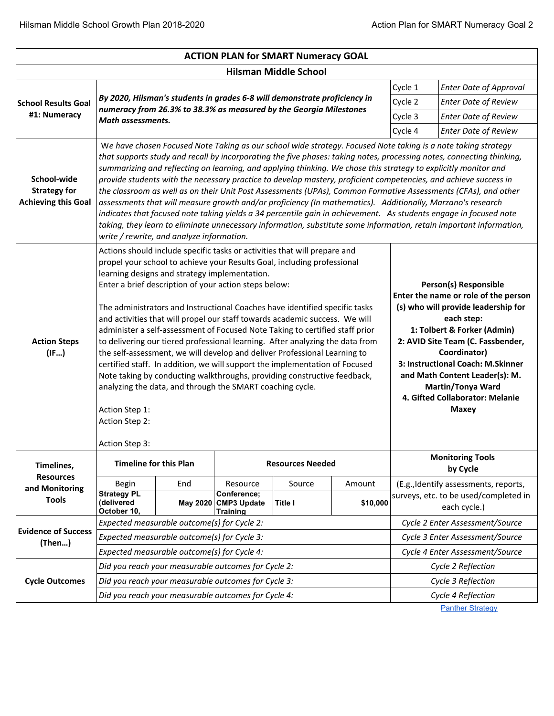| <b>ACTION PLAN for SMART Numeracy GOAL</b>                       |                                                                                                                                                                                                                           |                                                                                                                                                                                                                                                                                                                                                                                                                                                                                                                                                                                                                                                                                                                                                                                                                                                                                                                                                                                                        |                                                      |                                                                                                                                                                                                                                                                                                                                                                                                                                                                                                                                                                                                                                                                                                                             |          |                    |                                                                                                                                                                                                                                                                                                                                                |  |  |  |  |
|------------------------------------------------------------------|---------------------------------------------------------------------------------------------------------------------------------------------------------------------------------------------------------------------------|--------------------------------------------------------------------------------------------------------------------------------------------------------------------------------------------------------------------------------------------------------------------------------------------------------------------------------------------------------------------------------------------------------------------------------------------------------------------------------------------------------------------------------------------------------------------------------------------------------------------------------------------------------------------------------------------------------------------------------------------------------------------------------------------------------------------------------------------------------------------------------------------------------------------------------------------------------------------------------------------------------|------------------------------------------------------|-----------------------------------------------------------------------------------------------------------------------------------------------------------------------------------------------------------------------------------------------------------------------------------------------------------------------------------------------------------------------------------------------------------------------------------------------------------------------------------------------------------------------------------------------------------------------------------------------------------------------------------------------------------------------------------------------------------------------------|----------|--------------------|------------------------------------------------------------------------------------------------------------------------------------------------------------------------------------------------------------------------------------------------------------------------------------------------------------------------------------------------|--|--|--|--|
| <b>Hilsman Middle School</b>                                     |                                                                                                                                                                                                                           |                                                                                                                                                                                                                                                                                                                                                                                                                                                                                                                                                                                                                                                                                                                                                                                                                                                                                                                                                                                                        |                                                      |                                                                                                                                                                                                                                                                                                                                                                                                                                                                                                                                                                                                                                                                                                                             |          |                    |                                                                                                                                                                                                                                                                                                                                                |  |  |  |  |
|                                                                  |                                                                                                                                                                                                                           |                                                                                                                                                                                                                                                                                                                                                                                                                                                                                                                                                                                                                                                                                                                                                                                                                                                                                                                                                                                                        | Cycle 1                                              | <b>Enter Date of Approval</b>                                                                                                                                                                                                                                                                                                                                                                                                                                                                                                                                                                                                                                                                                               |          |                    |                                                                                                                                                                                                                                                                                                                                                |  |  |  |  |
| <b>School Results Goal</b>                                       |                                                                                                                                                                                                                           |                                                                                                                                                                                                                                                                                                                                                                                                                                                                                                                                                                                                                                                                                                                                                                                                                                                                                                                                                                                                        |                                                      | By 2020, Hilsman's students in grades 6-8 will demonstrate proficiency in                                                                                                                                                                                                                                                                                                                                                                                                                                                                                                                                                                                                                                                   |          | Cycle 2            | <b>Enter Date of Review</b>                                                                                                                                                                                                                                                                                                                    |  |  |  |  |
| #1: Numeracy                                                     | numeracy from 26.3% to 38.3% as measured by the Georgia Milestones<br><b>Math assessments.</b>                                                                                                                            |                                                                                                                                                                                                                                                                                                                                                                                                                                                                                                                                                                                                                                                                                                                                                                                                                                                                                                                                                                                                        | Cycle 3                                              | <b>Enter Date of Review</b>                                                                                                                                                                                                                                                                                                                                                                                                                                                                                                                                                                                                                                                                                                 |          |                    |                                                                                                                                                                                                                                                                                                                                                |  |  |  |  |
|                                                                  |                                                                                                                                                                                                                           |                                                                                                                                                                                                                                                                                                                                                                                                                                                                                                                                                                                                                                                                                                                                                                                                                                                                                                                                                                                                        |                                                      |                                                                                                                                                                                                                                                                                                                                                                                                                                                                                                                                                                                                                                                                                                                             |          | Cycle 4            | <b>Enter Date of Review</b>                                                                                                                                                                                                                                                                                                                    |  |  |  |  |
| School-wide<br><b>Strategy for</b><br><b>Achieving this Goal</b> |                                                                                                                                                                                                                           | We have chosen Focused Note Taking as our school wide strategy. Focused Note taking is a note taking strategy<br>that supports study and recall by incorporating the five phases: taking notes, processing notes, connecting thinking,<br>summarizing and reflecting on learning, and applying thinking. We chose this strategy to explicitly monitor and<br>provide students with the necessary practice to develop mastery, proficient competencies, and achieve success in<br>the classroom as well as on their Unit Post Assessments (UPAs), Common Formative Assessments (CFAs), and other<br>assessments that will measure growth and/or proficiency (In mathematics). Additionally, Marzano's research<br>indicates that focused note taking yields a 34 percentile gain in achievement. As students engage in focused note<br>taking, they learn to eliminate unnecessary information, substitute some information, retain important information,<br>write / rewrite, and analyze information. |                                                      |                                                                                                                                                                                                                                                                                                                                                                                                                                                                                                                                                                                                                                                                                                                             |          |                    |                                                                                                                                                                                                                                                                                                                                                |  |  |  |  |
| <b>Action Steps</b><br>(IF)                                      | learning designs and strategy implementation.<br>Enter a brief description of your action steps below:<br>analyzing the data, and through the SMART coaching cycle.<br>Action Step 1:<br>Action Step 2:<br>Action Step 3: |                                                                                                                                                                                                                                                                                                                                                                                                                                                                                                                                                                                                                                                                                                                                                                                                                                                                                                                                                                                                        |                                                      | Actions should include specific tasks or activities that will prepare and<br>propel your school to achieve your Results Goal, including professional<br>The administrators and Instructional Coaches have identified specific tasks<br>and activities that will propel our staff towards academic success. We will<br>administer a self-assessment of Focused Note Taking to certified staff prior<br>to delivering our tiered professional learning. After analyzing the data from<br>the self-assessment, we will develop and deliver Professional Learning to<br>certified staff. In addition, we will support the implementation of Focused<br>Note taking by conducting walkthroughs, providing constructive feedback, |          |                    | Person(s) Responsible<br>Enter the name or role of the person<br>(s) who will provide leadership for<br>each step:<br>1: Tolbert & Forker (Admin)<br>2: AVID Site Team (C. Fassbender,<br>Coordinator)<br>3: Instructional Coach: M.Skinner<br>and Math Content Leader(s): M.<br>Martin/Tonya Ward<br>4. Gifted Collaborator: Melanie<br>Maxey |  |  |  |  |
| Timelines,                                                       | <b>Timeline for this Plan</b>                                                                                                                                                                                             |                                                                                                                                                                                                                                                                                                                                                                                                                                                                                                                                                                                                                                                                                                                                                                                                                                                                                                                                                                                                        |                                                      | <b>Resources Needed</b>                                                                                                                                                                                                                                                                                                                                                                                                                                                                                                                                                                                                                                                                                                     |          |                    | <b>Monitoring Tools</b><br>by Cycle                                                                                                                                                                                                                                                                                                            |  |  |  |  |
| <b>Resources</b><br>and Monitoring                               | Begin                                                                                                                                                                                                                     | End                                                                                                                                                                                                                                                                                                                                                                                                                                                                                                                                                                                                                                                                                                                                                                                                                                                                                                                                                                                                    | Resource                                             | Source                                                                                                                                                                                                                                                                                                                                                                                                                                                                                                                                                                                                                                                                                                                      | Amount   |                    | (E.g., Identify assessments, reports,                                                                                                                                                                                                                                                                                                          |  |  |  |  |
| <b>Tools</b>                                                     | <b>Strategy PL</b><br>(delivered<br>October 10,                                                                                                                                                                           | May 2020                                                                                                                                                                                                                                                                                                                                                                                                                                                                                                                                                                                                                                                                                                                                                                                                                                                                                                                                                                                               | Conference:<br><b>CMP3 Update</b><br><b>Training</b> | <b>Title I</b>                                                                                                                                                                                                                                                                                                                                                                                                                                                                                                                                                                                                                                                                                                              | \$10,000 |                    | surveys, etc. to be used/completed in<br>each cycle.)                                                                                                                                                                                                                                                                                          |  |  |  |  |
|                                                                  | Expected measurable outcome(s) for Cycle 2:                                                                                                                                                                               |                                                                                                                                                                                                                                                                                                                                                                                                                                                                                                                                                                                                                                                                                                                                                                                                                                                                                                                                                                                                        |                                                      | Cycle 2 Enter Assessment/Source                                                                                                                                                                                                                                                                                                                                                                                                                                                                                                                                                                                                                                                                                             |          |                    |                                                                                                                                                                                                                                                                                                                                                |  |  |  |  |
| <b>Evidence of Success</b><br>(Then)                             | Expected measurable outcome(s) for Cycle 3:                                                                                                                                                                               |                                                                                                                                                                                                                                                                                                                                                                                                                                                                                                                                                                                                                                                                                                                                                                                                                                                                                                                                                                                                        |                                                      | Cycle 3 Enter Assessment/Source                                                                                                                                                                                                                                                                                                                                                                                                                                                                                                                                                                                                                                                                                             |          |                    |                                                                                                                                                                                                                                                                                                                                                |  |  |  |  |
|                                                                  | Expected measurable outcome(s) for Cycle 4:                                                                                                                                                                               |                                                                                                                                                                                                                                                                                                                                                                                                                                                                                                                                                                                                                                                                                                                                                                                                                                                                                                                                                                                                        |                                                      |                                                                                                                                                                                                                                                                                                                                                                                                                                                                                                                                                                                                                                                                                                                             |          |                    | Cycle 4 Enter Assessment/Source                                                                                                                                                                                                                                                                                                                |  |  |  |  |
|                                                                  | Did you reach your measurable outcomes for Cycle 2:                                                                                                                                                                       |                                                                                                                                                                                                                                                                                                                                                                                                                                                                                                                                                                                                                                                                                                                                                                                                                                                                                                                                                                                                        |                                                      |                                                                                                                                                                                                                                                                                                                                                                                                                                                                                                                                                                                                                                                                                                                             |          |                    | Cycle 2 Reflection                                                                                                                                                                                                                                                                                                                             |  |  |  |  |
| <b>Cycle Outcomes</b>                                            | Did you reach your measurable outcomes for Cycle 3:                                                                                                                                                                       |                                                                                                                                                                                                                                                                                                                                                                                                                                                                                                                                                                                                                                                                                                                                                                                                                                                                                                                                                                                                        |                                                      |                                                                                                                                                                                                                                                                                                                                                                                                                                                                                                                                                                                                                                                                                                                             |          |                    | Cycle 3 Reflection                                                                                                                                                                                                                                                                                                                             |  |  |  |  |
|                                                                  | Did you reach your measurable outcomes for Cycle 4:                                                                                                                                                                       |                                                                                                                                                                                                                                                                                                                                                                                                                                                                                                                                                                                                                                                                                                                                                                                                                                                                                                                                                                                                        |                                                      |                                                                                                                                                                                                                                                                                                                                                                                                                                                                                                                                                                                                                                                                                                                             |          | Cycle 4 Reflection |                                                                                                                                                                                                                                                                                                                                                |  |  |  |  |

**Panther Strategy**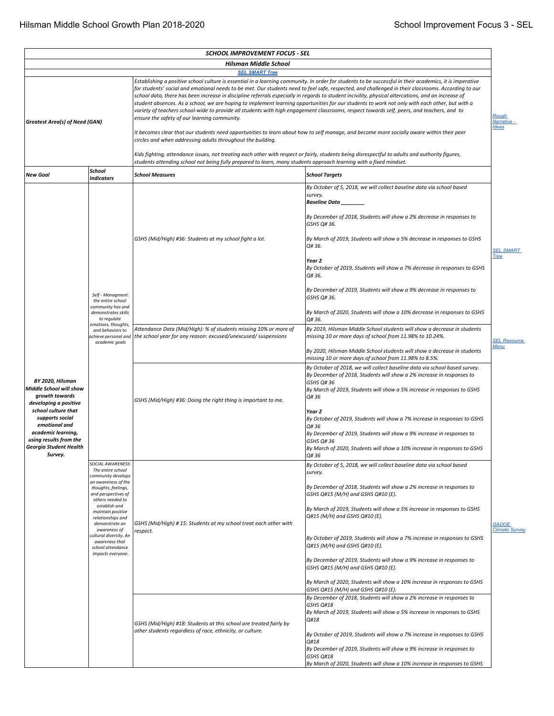|                                                                                                                                              |                                                                                                                              | <b>SCHOOL IMPROVEMENT FOCUS - SEL</b>                                                                                                                                                                                                                                                                                                                                                                                                                                                                                                                                                                                                                                                                                                                                                                                                                                                                                                                                                                                                                             |                                                                                                                                                                                                                                                                       |                                       |  |  |  |  |
|----------------------------------------------------------------------------------------------------------------------------------------------|------------------------------------------------------------------------------------------------------------------------------|-------------------------------------------------------------------------------------------------------------------------------------------------------------------------------------------------------------------------------------------------------------------------------------------------------------------------------------------------------------------------------------------------------------------------------------------------------------------------------------------------------------------------------------------------------------------------------------------------------------------------------------------------------------------------------------------------------------------------------------------------------------------------------------------------------------------------------------------------------------------------------------------------------------------------------------------------------------------------------------------------------------------------------------------------------------------|-----------------------------------------------------------------------------------------------------------------------------------------------------------------------------------------------------------------------------------------------------------------------|---------------------------------------|--|--|--|--|
|                                                                                                                                              |                                                                                                                              | <b>Hilsman Middle School</b><br><b>SEL SMART Tree</b>                                                                                                                                                                                                                                                                                                                                                                                                                                                                                                                                                                                                                                                                                                                                                                                                                                                                                                                                                                                                             |                                                                                                                                                                                                                                                                       |                                       |  |  |  |  |
| Greatest Area(s) of Need (GAN)                                                                                                               |                                                                                                                              | Establishing a positive school culture is essential in a learning community. In order for students to be successful in their academics, it is imperative<br>for students' social and emotional needs to be met. Our students need to feel safe, respected, and challenged in their classrooms. According to our<br>school data, there has been increase in discipline referrals especially in regards to student incivility, physical altercations, and an increase of<br>student absences. As a school, we are hoping to implement learning opportunities for our students to work not only with each other, but with a<br>variety of teachers school-wide to provide all students with high engagement classrooms, respect towards self, peers, and teachers, and to<br><b>Rough</b><br>ensure the safety of our learning community.<br>Narrative -<br>It becomes clear that our students need opportunities to learn about how to self manage, and become more socially aware within their peer<br>circles and when addressing adults throughout the building. |                                                                                                                                                                                                                                                                       |                                       |  |  |  |  |
|                                                                                                                                              | School                                                                                                                       | Kids fighting, attendance issues, not treating each other with respect or fairly, students being disrespectful to adults and authority figures,<br>students attending school not being fully prepared to learn, many students approach learning with a fixed mindset.                                                                                                                                                                                                                                                                                                                                                                                                                                                                                                                                                                                                                                                                                                                                                                                             |                                                                                                                                                                                                                                                                       |                                       |  |  |  |  |
| <b>New Goal</b>                                                                                                                              | <b>Indicators</b>                                                                                                            | <b>School Measures</b>                                                                                                                                                                                                                                                                                                                                                                                                                                                                                                                                                                                                                                                                                                                                                                                                                                                                                                                                                                                                                                            | <b>School Targets</b>                                                                                                                                                                                                                                                 |                                       |  |  |  |  |
|                                                                                                                                              |                                                                                                                              |                                                                                                                                                                                                                                                                                                                                                                                                                                                                                                                                                                                                                                                                                                                                                                                                                                                                                                                                                                                                                                                                   | By October of 5, 2018, we will collect baseline data via school based<br>survey.<br>Baseline Data _<br>By December of 2018, Students will show a 2% decrease in responses to                                                                                          |                                       |  |  |  |  |
|                                                                                                                                              |                                                                                                                              |                                                                                                                                                                                                                                                                                                                                                                                                                                                                                                                                                                                                                                                                                                                                                                                                                                                                                                                                                                                                                                                                   | GSHS Q# 36.                                                                                                                                                                                                                                                           |                                       |  |  |  |  |
|                                                                                                                                              |                                                                                                                              | GSHS (Mid/High) #36: Students at my school fight a lot.                                                                                                                                                                                                                                                                                                                                                                                                                                                                                                                                                                                                                                                                                                                                                                                                                                                                                                                                                                                                           | By March of 2019, Students will show a 5% decrease in responses to GSHS<br>Q# 36.                                                                                                                                                                                     | <b>SEL SMART</b><br><b>Tree</b>       |  |  |  |  |
|                                                                                                                                              |                                                                                                                              |                                                                                                                                                                                                                                                                                                                                                                                                                                                                                                                                                                                                                                                                                                                                                                                                                                                                                                                                                                                                                                                                   | Year 2<br>By October of 2019, Students will show a 7% decrease in responses to GSHS<br>Q# 36.                                                                                                                                                                         |                                       |  |  |  |  |
|                                                                                                                                              | Self - Managment:<br>the entire school<br>community has and                                                                  |                                                                                                                                                                                                                                                                                                                                                                                                                                                                                                                                                                                                                                                                                                                                                                                                                                                                                                                                                                                                                                                                   | By December of 2019, Students will show a 9% decrease in responses to<br>GSHS Q# 36.                                                                                                                                                                                  |                                       |  |  |  |  |
|                                                                                                                                              | demonstrates skills<br>to regulate                                                                                           |                                                                                                                                                                                                                                                                                                                                                                                                                                                                                                                                                                                                                                                                                                                                                                                                                                                                                                                                                                                                                                                                   | By March of 2020, Students will show a 10% decrease in responses to GSHS<br>Q# 36.                                                                                                                                                                                    |                                       |  |  |  |  |
|                                                                                                                                              | emotions, thoughts,<br>and behaviors to<br>achieve personal and<br>academic goals                                            | Attendance Data (Mid/High): % of students missing 10% or more of<br>the school year for any reason: excused/unexcused/ suspensions                                                                                                                                                                                                                                                                                                                                                                                                                                                                                                                                                                                                                                                                                                                                                                                                                                                                                                                                | By 2019, Hilsman Middle School students will show a decrease in students<br>missing 10 or more days of school from 11.98% to 10.24%.                                                                                                                                  | <b>SEL Resource</b>                   |  |  |  |  |
|                                                                                                                                              |                                                                                                                              |                                                                                                                                                                                                                                                                                                                                                                                                                                                                                                                                                                                                                                                                                                                                                                                                                                                                                                                                                                                                                                                                   | By 2020, Hilsman Middle School students will show a decrease in students<br>missing 10 or more days of school from 11.98% to 8.5%.                                                                                                                                    | Menu                                  |  |  |  |  |
| BY 2020, Hilsman<br>Middle School will show<br>growth towards<br>developing a positive                                                       |                                                                                                                              | GSHS (Mid/High) #36: Doing the right thing is important to me.                                                                                                                                                                                                                                                                                                                                                                                                                                                                                                                                                                                                                                                                                                                                                                                                                                                                                                                                                                                                    | By October of 2018, we will collect baseline data via school based survey.<br>By December of 2018, Students will show a 2% increase in responses to<br>GSHS Q#36<br>By March of 2019, Students will show a 5% increase in responses to GSHS<br>Q# 36                  |                                       |  |  |  |  |
| school culture that<br>supports social<br>emotional and<br>academic learning,<br>using results from the<br>Georgia Student Health<br>Survey. |                                                                                                                              |                                                                                                                                                                                                                                                                                                                                                                                                                                                                                                                                                                                                                                                                                                                                                                                                                                                                                                                                                                                                                                                                   | Year 2<br>By October of 2019, Students will show a 7% increase in responses to GSHS<br>Q#36<br>By December of 2019, Students will show a 9% increase in responses to<br>GSHS Q#36<br>By March of 2020, Students will show a 10% increase in responses to GSHS<br>Q#36 |                                       |  |  |  |  |
|                                                                                                                                              | SOCIAL AWARENESS:<br>The entire school                                                                                       |                                                                                                                                                                                                                                                                                                                                                                                                                                                                                                                                                                                                                                                                                                                                                                                                                                                                                                                                                                                                                                                                   | By October of 5, 2018, we will collect baseline data via school based<br>survey.                                                                                                                                                                                      |                                       |  |  |  |  |
|                                                                                                                                              | community develops<br>an awareness of the<br>thoughts, feelings,<br>and perspectives of<br>others needed to<br>establish and |                                                                                                                                                                                                                                                                                                                                                                                                                                                                                                                                                                                                                                                                                                                                                                                                                                                                                                                                                                                                                                                                   | By December of 2018, Students will show a 2% increase in responses to<br>GSHS Q#15 (M/H) and GSHS Q#10 (E).                                                                                                                                                           |                                       |  |  |  |  |
|                                                                                                                                              | maintain positive<br>relationships and<br>demonstrate an<br>awareness of                                                     | GSHS (Mid/High) # 15: Students at my school treat each other with                                                                                                                                                                                                                                                                                                                                                                                                                                                                                                                                                                                                                                                                                                                                                                                                                                                                                                                                                                                                 | By March of 2019, Students will show a 5% increase in responses to GSHS<br>Q#15 (M/H) and GSHS Q#10 (E).                                                                                                                                                              | <b>GADOE</b><br><b>Climate Survey</b> |  |  |  |  |
|                                                                                                                                              | ultural diversity. An:<br>awareness that<br>school attendance<br>impacts everyone.                                           | respect.                                                                                                                                                                                                                                                                                                                                                                                                                                                                                                                                                                                                                                                                                                                                                                                                                                                                                                                                                                                                                                                          | By October of 2019, Students will show a 7% increase in responses to GSHS<br>Q#15 (M/H) and GSHS Q#10 (E).                                                                                                                                                            |                                       |  |  |  |  |
|                                                                                                                                              |                                                                                                                              |                                                                                                                                                                                                                                                                                                                                                                                                                                                                                                                                                                                                                                                                                                                                                                                                                                                                                                                                                                                                                                                                   | By December of 2019, Students will show a 9% increase in responses to<br>GSHS Q#15 (M/H) and GSHS Q#10 (E).                                                                                                                                                           |                                       |  |  |  |  |
|                                                                                                                                              |                                                                                                                              |                                                                                                                                                                                                                                                                                                                                                                                                                                                                                                                                                                                                                                                                                                                                                                                                                                                                                                                                                                                                                                                                   | By March of 2020, Students will show a 10% increase in responses to GSHS<br>GSHS Q#15 (M/H) and GSHS Q#10 (E).                                                                                                                                                        |                                       |  |  |  |  |
|                                                                                                                                              |                                                                                                                              | GSHS (Mid/High) #18: Students at this school are treated fairly by                                                                                                                                                                                                                                                                                                                                                                                                                                                                                                                                                                                                                                                                                                                                                                                                                                                                                                                                                                                                | By December of 2018, Students will show a 2% increase in responses to<br>GSHS Q#18<br>By March of 2019, Students will show a 5% increase in responses to GSHS<br>Q#18                                                                                                 |                                       |  |  |  |  |
|                                                                                                                                              |                                                                                                                              | other students regardless of race, ethnicity, or culture.                                                                                                                                                                                                                                                                                                                                                                                                                                                                                                                                                                                                                                                                                                                                                                                                                                                                                                                                                                                                         | By October of 2019, Students will show a 7% increase in responses to GSHS<br>Q#18<br>By December of 2019, Students will show a 9% increase in responses to                                                                                                            |                                       |  |  |  |  |
|                                                                                                                                              |                                                                                                                              |                                                                                                                                                                                                                                                                                                                                                                                                                                                                                                                                                                                                                                                                                                                                                                                                                                                                                                                                                                                                                                                                   | GSHS Q#18<br>By March of 2020, Students will show a 10% increase in responses to GSHS                                                                                                                                                                                 |                                       |  |  |  |  |